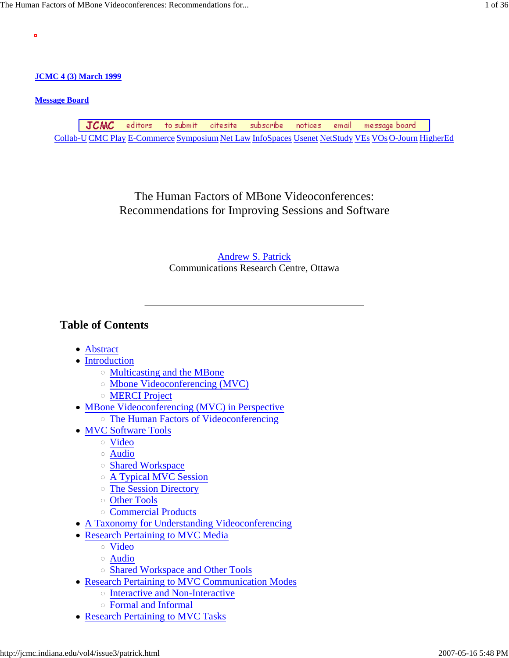**JCMC 4 (3) March 1999**

### **Message Board**

ö

JCMC editors to submit subscribe citesite notices email message board Collab-U CMC Play E-Commerce Symposium Net Law InfoSpaces Usenet NetStudy VEs VOs O-Journ HigherEd

> The Human Factors of MBone Videoconferences: Recommendations for Improving Sessions and Software

### Andrew S. Patrick Communications Research Centre, Ottawa

# **Table of Contents**

- Abstract
- Introduction
	- Multicasting and the MBone
	- Mbone Videoconferencing (MVC)
	- MERCI Project
- MBone Videoconferencing (MVC) in Perspective The Human Factors of Videoconferencing
- MVC Software Tools
	- Video
	- Audio
	- o Shared Workspace
	- A Typical MVC Session
	- The Session Directory
	- Other Tools
	- Commercial Products
- A Taxonomy for Understanding Videoconferencing
- Research Pertaining to MVC Media
	- Video
	- Audio
	- Shared Workspace and Other Tools
- Research Pertaining to MVC Communication Modes
	- o Interactive and Non-Interactive
	- Formal and Informal
- Research Pertaining to MVC Tasks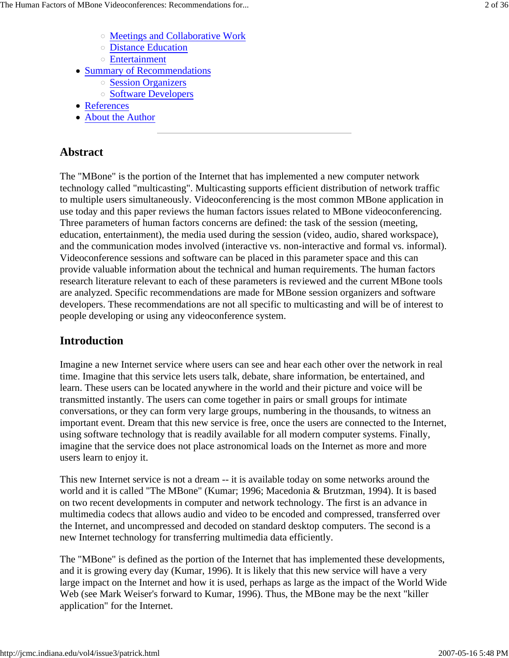- Meetings and Collaborative Work
- Distance Education
- Entertainment
- Summary of Recommendations
	- o Session Organizers
	- Software Developers
- References
- About the Author

## **Abstract**

The "MBone" is the portion of the Internet that has implemented a new computer network technology called "multicasting". Multicasting supports efficient distribution of network traffic to multiple users simultaneously. Videoconferencing is the most common MBone application in use today and this paper reviews the human factors issues related to MBone videoconferencing. Three parameters of human factors concerns are defined: the task of the session (meeting, education, entertainment), the media used during the session (video, audio, shared workspace), and the communication modes involved (interactive vs. non-interactive and formal vs. informal). Videoconference sessions and software can be placed in this parameter space and this can provide valuable information about the technical and human requirements. The human factors research literature relevant to each of these parameters is reviewed and the current MBone tools are analyzed. Specific recommendations are made for MBone session organizers and software developers. These recommendations are not all specific to multicasting and will be of interest to people developing or using any videoconference system.

### **Introduction**

Imagine a new Internet service where users can see and hear each other over the network in real time. Imagine that this service lets users talk, debate, share information, be entertained, and learn. These users can be located anywhere in the world and their picture and voice will be transmitted instantly. The users can come together in pairs or small groups for intimate conversations, or they can form very large groups, numbering in the thousands, to witness an important event. Dream that this new service is free, once the users are connected to the Internet, using software technology that is readily available for all modern computer systems. Finally, imagine that the service does not place astronomical loads on the Internet as more and more users learn to enjoy it.

This new Internet service is not a dream -- it is available today on some networks around the world and it is called "The MBone" (Kumar; 1996; Macedonia & Brutzman, 1994). It is based on two recent developments in computer and network technology. The first is an advance in multimedia codecs that allows audio and video to be encoded and compressed, transferred over the Internet, and uncompressed and decoded on standard desktop computers. The second is a new Internet technology for transferring multimedia data efficiently.

The "MBone" is defined as the portion of the Internet that has implemented these developments, and it is growing every day (Kumar, 1996). It is likely that this new service will have a very large impact on the Internet and how it is used, perhaps as large as the impact of the World Wide Web (see Mark Weiser's forward to Kumar, 1996). Thus, the MBone may be the next "killer application" for the Internet.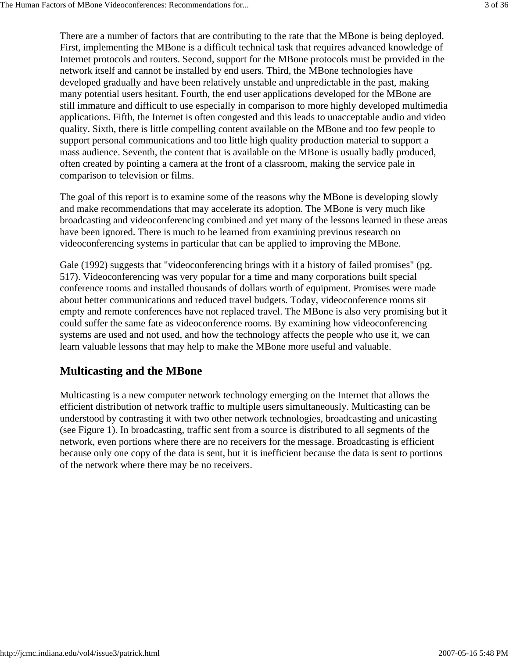There are a number of factors that are contributing to the rate that the MBone is being deployed. First, implementing the MBone is a difficult technical task that requires advanced knowledge of Internet protocols and routers. Second, support for the MBone protocols must be provided in the network itself and cannot be installed by end users. Third, the MBone technologies have developed gradually and have been relatively unstable and unpredictable in the past, making many potential users hesitant. Fourth, the end user applications developed for the MBone are still immature and difficult to use especially in comparison to more highly developed multimedia applications. Fifth, the Internet is often congested and this leads to unacceptable audio and video quality. Sixth, there is little compelling content available on the MBone and too few people to support personal communications and too little high quality production material to support a mass audience. Seventh, the content that is available on the MBone is usually badly produced, often created by pointing a camera at the front of a classroom, making the service pale in comparison to television or films.

The goal of this report is to examine some of the reasons why the MBone is developing slowly and make recommendations that may accelerate its adoption. The MBone is very much like broadcasting and videoconferencing combined and yet many of the lessons learned in these areas have been ignored. There is much to be learned from examining previous research on videoconferencing systems in particular that can be applied to improving the MBone.

Gale (1992) suggests that "videoconferencing brings with it a history of failed promises" (pg. 517). Videoconferencing was very popular for a time and many corporations built special conference rooms and installed thousands of dollars worth of equipment. Promises were made about better communications and reduced travel budgets. Today, videoconference rooms sit empty and remote conferences have not replaced travel. The MBone is also very promising but it could suffer the same fate as videoconference rooms. By examining how videoconferencing systems are used and not used, and how the technology affects the people who use it, we can learn valuable lessons that may help to make the MBone more useful and valuable.

# **Multicasting and the MBone**

Multicasting is a new computer network technology emerging on the Internet that allows the efficient distribution of network traffic to multiple users simultaneously. Multicasting can be understood by contrasting it with two other network technologies, broadcasting and unicasting (see Figure 1). In broadcasting, traffic sent from a source is distributed to all segments of the network, even portions where there are no receivers for the message. Broadcasting is efficient because only one copy of the data is sent, but it is inefficient because the data is sent to portions of the network where there may be no receivers.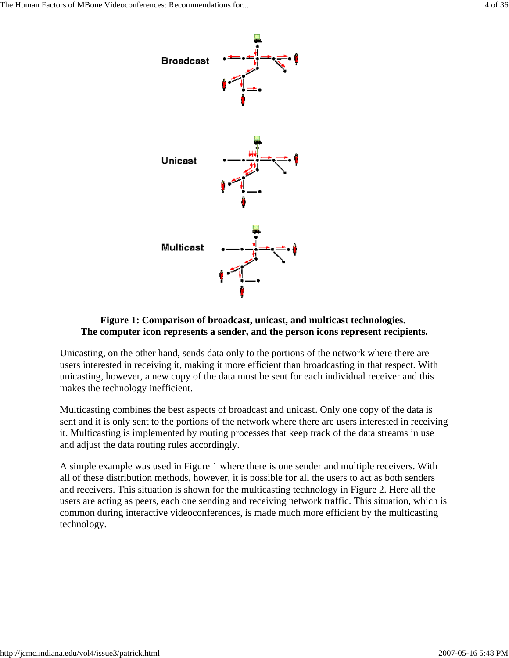

#### **Figure 1: Comparison of broadcast, unicast, and multicast technologies. The computer icon represents a sender, and the person icons represent recipients.**

Unicasting, on the other hand, sends data only to the portions of the network where there are users interested in receiving it, making it more efficient than broadcasting in that respect. With unicasting, however, a new copy of the data must be sent for each individual receiver and this makes the technology inefficient.

Multicasting combines the best aspects of broadcast and unicast. Only one copy of the data is sent and it is only sent to the portions of the network where there are users interested in receiving it. Multicasting is implemented by routing processes that keep track of the data streams in use and adjust the data routing rules accordingly.

A simple example was used in Figure 1 where there is one sender and multiple receivers. With all of these distribution methods, however, it is possible for all the users to act as both senders and receivers. This situation is shown for the multicasting technology in Figure 2. Here all the users are acting as peers, each one sending and receiving network traffic. This situation, which is common during interactive videoconferences, is made much more efficient by the multicasting technology.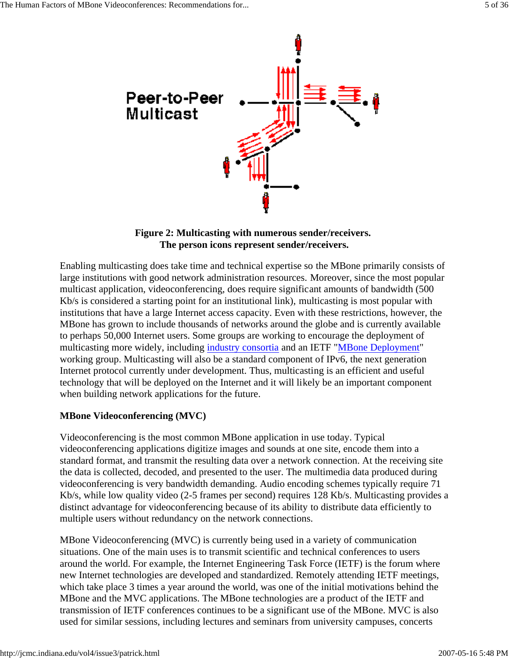

#### **Figure 2: Multicasting with numerous sender/receivers. The person icons represent sender/receivers.**

Enabling multicasting does take time and technical expertise so the MBone primarily consists of large institutions with good network administration resources. Moreover, since the most popular multicast application, videoconferencing, does require significant amounts of bandwidth (500 Kb/s is considered a starting point for an institutional link), multicasting is most popular with institutions that have a large Internet access capacity. Even with these restrictions, however, the MBone has grown to include thousands of networks around the globe and is currently available to perhaps 50,000 Internet users. Some groups are working to encourage the deployment of multicasting more widely, including industry consortia and an IETF "MBone Deployment" working group. Multicasting will also be a standard component of IPv6, the next generation Internet protocol currently under development. Thus, multicasting is an efficient and useful technology that will be deployed on the Internet and it will likely be an important component when building network applications for the future.

### **MBone Videoconferencing (MVC)**

Videoconferencing is the most common MBone application in use today. Typical videoconferencing applications digitize images and sounds at one site, encode them into a standard format, and transmit the resulting data over a network connection. At the receiving site the data is collected, decoded, and presented to the user. The multimedia data produced during videoconferencing is very bandwidth demanding. Audio encoding schemes typically require 71 Kb/s, while low quality video (2-5 frames per second) requires 128 Kb/s. Multicasting provides a distinct advantage for videoconferencing because of its ability to distribute data efficiently to multiple users without redundancy on the network connections.

MBone Videoconferencing (MVC) is currently being used in a variety of communication situations. One of the main uses is to transmit scientific and technical conferences to users around the world. For example, the Internet Engineering Task Force (IETF) is the forum where new Internet technologies are developed and standardized. Remotely attending IETF meetings, which take place 3 times a year around the world, was one of the initial motivations behind the MBone and the MVC applications. The MBone technologies are a product of the IETF and transmission of IETF conferences continues to be a significant use of the MBone. MVC is also used for similar sessions, including lectures and seminars from university campuses, concerts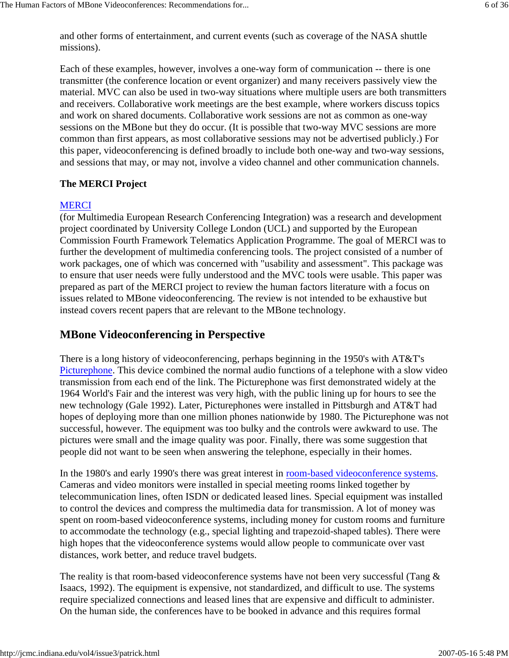and other forms of entertainment, and current events (such as coverage of the NASA shuttle missions).

Each of these examples, however, involves a one-way form of communication -- there is one transmitter (the conference location or event organizer) and many receivers passively view the material. MVC can also be used in two-way situations where multiple users are both transmitters and receivers. Collaborative work meetings are the best example, where workers discuss topics and work on shared documents. Collaborative work sessions are not as common as one-way sessions on the MBone but they do occur. (It is possible that two-way MVC sessions are more common than first appears, as most collaborative sessions may not be advertised publicly.) For this paper, videoconferencing is defined broadly to include both one-way and two-way sessions, and sessions that may, or may not, involve a video channel and other communication channels.

#### **The MERCI Project**

#### MERCI

(for Multimedia European Research Conferencing Integration) was a research and development project coordinated by University College London (UCL) and supported by the European Commission Fourth Framework Telematics Application Programme. The goal of MERCI was to further the development of multimedia conferencing tools. The project consisted of a number of work packages, one of which was concerned with "usability and assessment". This package was to ensure that user needs were fully understood and the MVC tools were usable. This paper was prepared as part of the MERCI project to review the human factors literature with a focus on issues related to MBone videoconferencing. The review is not intended to be exhaustive but instead covers recent papers that are relevant to the MBone technology.

## **MBone Videoconferencing in Perspective**

There is a long history of videoconferencing, perhaps beginning in the 1950's with AT&T's Picturephone. This device combined the normal audio functions of a telephone with a slow video transmission from each end of the link. The Picturephone was first demonstrated widely at the 1964 World's Fair and the interest was very high, with the public lining up for hours to see the new technology (Gale 1992). Later, Picturephones were installed in Pittsburgh and AT&T had hopes of deploying more than one million phones nationwide by 1980. The Picturephone was not successful, however. The equipment was too bulky and the controls were awkward to use. The pictures were small and the image quality was poor. Finally, there was some suggestion that people did not want to be seen when answering the telephone, especially in their homes.

In the 1980's and early 1990's there was great interest in room-based videoconference systems. Cameras and video monitors were installed in special meeting rooms linked together by telecommunication lines, often ISDN or dedicated leased lines. Special equipment was installed to control the devices and compress the multimedia data for transmission. A lot of money was spent on room-based videoconference systems, including money for custom rooms and furniture to accommodate the technology (e.g., special lighting and trapezoid-shaped tables). There were high hopes that the videoconference systems would allow people to communicate over vast distances, work better, and reduce travel budgets.

The reality is that room-based videoconference systems have not been very successful (Tang & Isaacs, 1992). The equipment is expensive, not standardized, and difficult to use. The systems require specialized connections and leased lines that are expensive and difficult to administer. On the human side, the conferences have to be booked in advance and this requires formal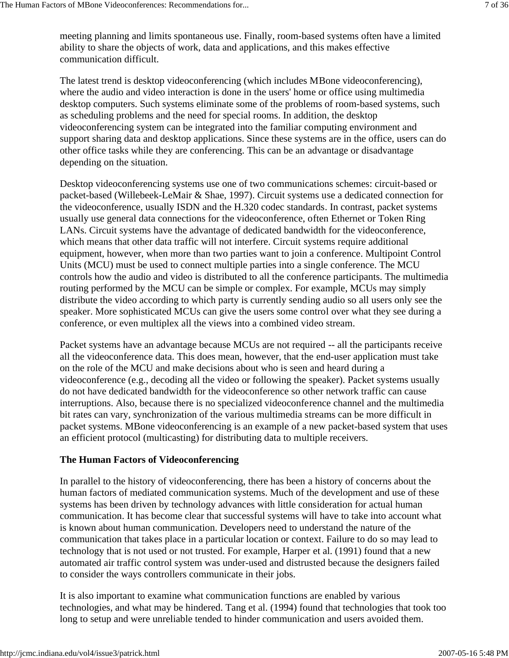meeting planning and limits spontaneous use. Finally, room-based systems often have a limited ability to share the objects of work, data and applications, and this makes effective communication difficult.

The latest trend is desktop videoconferencing (which includes MBone videoconferencing), where the audio and video interaction is done in the users' home or office using multimedia desktop computers. Such systems eliminate some of the problems of room-based systems, such as scheduling problems and the need for special rooms. In addition, the desktop videoconferencing system can be integrated into the familiar computing environment and support sharing data and desktop applications. Since these systems are in the office, users can do other office tasks while they are conferencing. This can be an advantage or disadvantage depending on the situation.

Desktop videoconferencing systems use one of two communications schemes: circuit-based or packet-based (Willebeek-LeMair & Shae, 1997). Circuit systems use a dedicated connection for the videoconference, usually ISDN and the H.320 codec standards. In contrast, packet systems usually use general data connections for the videoconference, often Ethernet or Token Ring LANs. Circuit systems have the advantage of dedicated bandwidth for the videoconference, which means that other data traffic will not interfere. Circuit systems require additional equipment, however, when more than two parties want to join a conference. Multipoint Control Units (MCU) must be used to connect multiple parties into a single conference. The MCU controls how the audio and video is distributed to all the conference participants. The multimedia routing performed by the MCU can be simple or complex. For example, MCUs may simply distribute the video according to which party is currently sending audio so all users only see the speaker. More sophisticated MCUs can give the users some control over what they see during a conference, or even multiplex all the views into a combined video stream.

Packet systems have an advantage because MCUs are not required -- all the participants receive all the videoconference data. This does mean, however, that the end-user application must take on the role of the MCU and make decisions about who is seen and heard during a videoconference (e.g., decoding all the video or following the speaker). Packet systems usually do not have dedicated bandwidth for the videoconference so other network traffic can cause interruptions. Also, because there is no specialized videoconference channel and the multimedia bit rates can vary, synchronization of the various multimedia streams can be more difficult in packet systems. MBone videoconferencing is an example of a new packet-based system that uses an efficient protocol (multicasting) for distributing data to multiple receivers.

#### **The Human Factors of Videoconferencing**

In parallel to the history of videoconferencing, there has been a history of concerns about the human factors of mediated communication systems. Much of the development and use of these systems has been driven by technology advances with little consideration for actual human communication. It has become clear that successful systems will have to take into account what is known about human communication. Developers need to understand the nature of the communication that takes place in a particular location or context. Failure to do so may lead to technology that is not used or not trusted. For example, Harper et al. (1991) found that a new automated air traffic control system was under-used and distrusted because the designers failed to consider the ways controllers communicate in their jobs.

It is also important to examine what communication functions are enabled by various technologies, and what may be hindered. Tang et al. (1994) found that technologies that took too long to setup and were unreliable tended to hinder communication and users avoided them.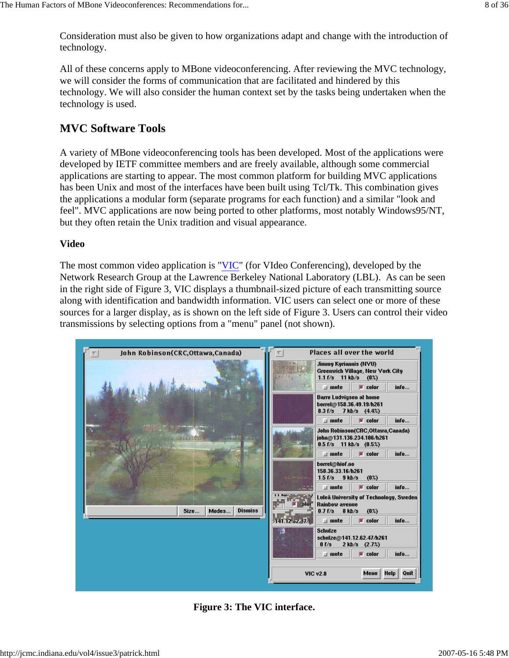Consideration must also be given to how organizations adapt and change with the introduction of technology.

All of these concerns apply to MBone videoconferencing. After reviewing the MVC technology, we will consider the forms of communication that are facilitated and hindered by this technology. We will also consider the human context set by the tasks being undertaken when the technology is used.

## **MVC Software Tools**

A variety of MBone videoconferencing tools has been developed. Most of the applications were developed by IETF committee members and are freely available, although some commercial applications are starting to appear. The most common platform for building MVC applications has been Unix and most of the interfaces have been built using Tcl/Tk. This combination gives the applications a modular form (separate programs for each function) and a similar "look and feel". MVC applications are now being ported to other platforms, most notably Windows95/NT, but they often retain the Unix tradition and visual appearance.

#### **Video**

The most common video application is "VIC" (for VIdeo Conferencing), developed by the Network Research Group at the Lawrence Berkeley National Laboratory (LBL). As can be seen in the right side of Figure 3, VIC displays a thumbnail-sized picture of each transmitting source along with identification and bandwidth information. VIC users can select one or more of these sources for a larger display, as is shown on the left side of Figure 3. Users can control their video transmissions by selecting options from a "menu" panel (not shown).



**Figure 3: The VIC interface.**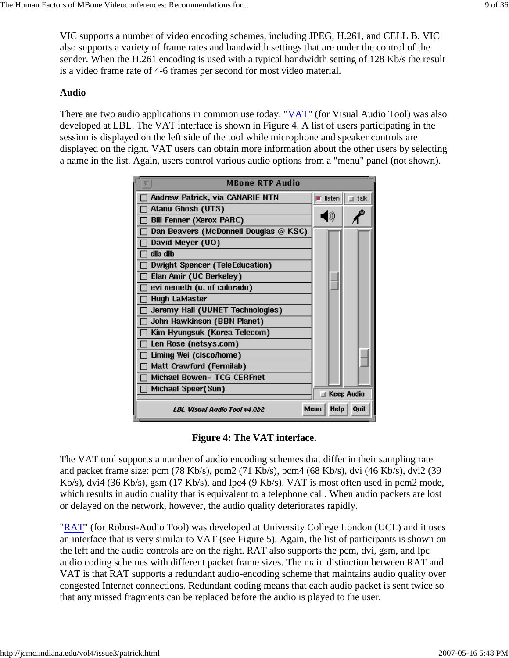VIC supports a number of video encoding schemes, including JPEG, H.261, and CELL B. VIC also supports a variety of frame rates and bandwidth settings that are under the control of the sender. When the H.261 encoding is used with a typical bandwidth setting of 128 Kb/s the result is a video frame rate of 4-6 frames per second for most video material.

#### **Audio**

There are two audio applications in common use today. "VAT" (for Visual Audio Tool) was also developed at LBL. The VAT interface is shown in Figure 4. A list of users participating in the session is displayed on the left side of the tool while microphone and speaker controls are displayed on the right. VAT users can obtain more information about the other users by selecting a name in the list. Again, users control various audio options from a "menu" panel (not shown).

| <b>MBone RTP Audio</b>                |                       |               |
|---------------------------------------|-----------------------|---------------|
| Andrew Patrick, via CANARIE NTN       | $\blacksquare$ listen | <b>⊥</b> talk |
| Atanu Ghosh (UTS)                     |                       |               |
| Bill Fenner (Xerox PARC)              |                       |               |
| Dan Beavers (McDonnell Douglas @ KSC) |                       |               |
| David Meyer (UO)                      |                       |               |
| dlb dlb                               |                       |               |
| <b>Dwight Spencer (TeleEducation)</b> |                       |               |
| Elan Amir (UC Berkeley)               |                       |               |
| evi nemeth (u. of colorado)           |                       |               |
| <b>Hugh LaMaster</b>                  |                       |               |
| Jeremy Hall (UUNET Technologies)      |                       |               |
| John Hawkinson (BBN Planet)           |                       |               |
| Kim Hyungsuk (Korea Telecom)          |                       |               |
| Len Rose (netsys.com)                 |                       |               |
| Liming Wei (cisco/home)               |                       |               |
| Matt Crawford (Fermilab)              |                       |               |
| <b>Michael Bowen- TCG CERFnet</b>     |                       |               |
| Michael Speer(Sun)                    | $\Box$ Keep Audio     |               |
| LBL Visual Audio Tool v4.0b2          | <b>Help</b><br>Menu   | Quit          |

#### **Figure 4: The VAT interface.**

The VAT tool supports a number of audio encoding schemes that differ in their sampling rate and packet frame size: pcm (78 Kb/s), pcm2 (71 Kb/s), pcm4 (68 Kb/s), dvi (46 Kb/s), dvi2 (39 Kb/s), dvi4 (36 Kb/s), gsm (17 Kb/s), and lpc4 (9 Kb/s). VAT is most often used in pcm2 mode, which results in audio quality that is equivalent to a telephone call. When audio packets are lost or delayed on the network, however, the audio quality deteriorates rapidly.

"RAT" (for Robust-Audio Tool) was developed at University College London (UCL) and it uses an interface that is very similar to VAT (see Figure 5). Again, the list of participants is shown on the left and the audio controls are on the right. RAT also supports the pcm, dvi, gsm, and lpc audio coding schemes with different packet frame sizes. The main distinction between RAT and VAT is that RAT supports a redundant audio-encoding scheme that maintains audio quality over congested Internet connections. Redundant coding means that each audio packet is sent twice so that any missed fragments can be replaced before the audio is played to the user.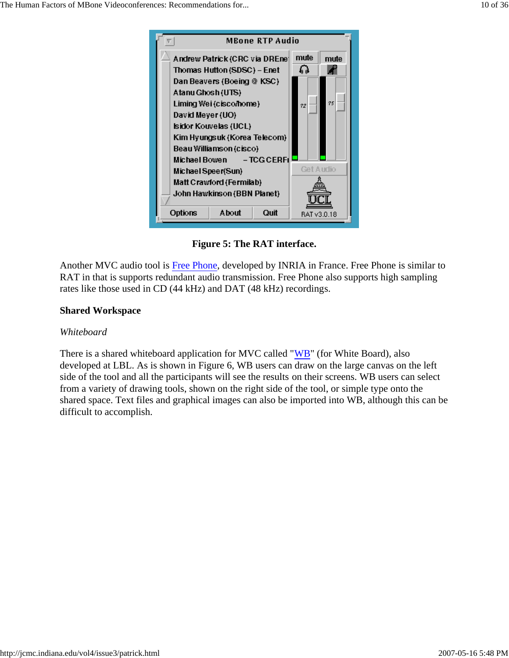

**Figure 5: The RAT interface.**

Another MVC audio tool is Free Phone, developed by INRIA in France. Free Phone is similar to RAT in that is supports redundant audio transmission. Free Phone also supports high sampling rates like those used in CD (44 kHz) and DAT (48 kHz) recordings.

### **Shared Workspace**

#### *Whiteboard*

There is a shared whiteboard application for MVC called "WB" (for White Board), also developed at LBL. As is shown in Figure 6, WB users can draw on the large canvas on the left side of the tool and all the participants will see the results on their screens. WB users can select from a variety of drawing tools, shown on the right side of the tool, or simple type onto the shared space. Text files and graphical images can also be imported into WB, although this can be difficult to accomplish.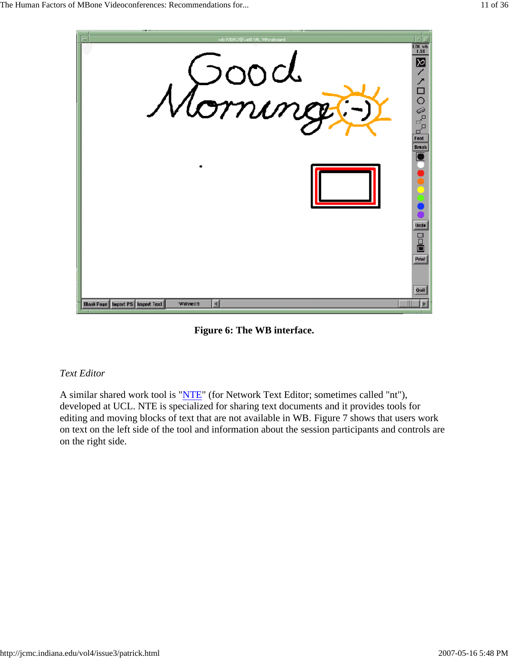

**Figure 6: The WB interface.**

### *Text Editor*

A similar shared work tool is "NTE" (for Network Text Editor; sometimes called "nt"), developed at UCL. NTE is specialized for sharing text documents and it provides tools for editing and moving blocks of text that are not available in WB. Figure 7 shows that users work on text on the left side of the tool and information about the session participants and controls are on the right side.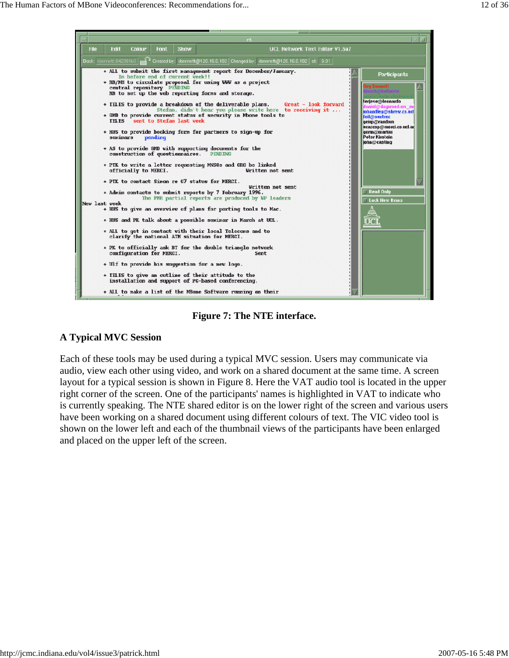

**Figure 7: The NTE interface.**

### **A Typical MVC Session**

Each of these tools may be used during a typical MVC session. Users may communicate via audio, view each other using video, and work on a shared document at the same time. A screen layout for a typical session is shown in Figure 8. Here the VAT audio tool is located in the upper right corner of the screen. One of the participants' names is highlighted in VAT to indicate who is currently speaking. The NTE shared editor is on the lower right of the screen and various users have been working on a shared document using different colours of text. The VIC video tool is shown on the lower left and each of the thumbnail views of the participants have been enlarged and placed on the upper left of the screen.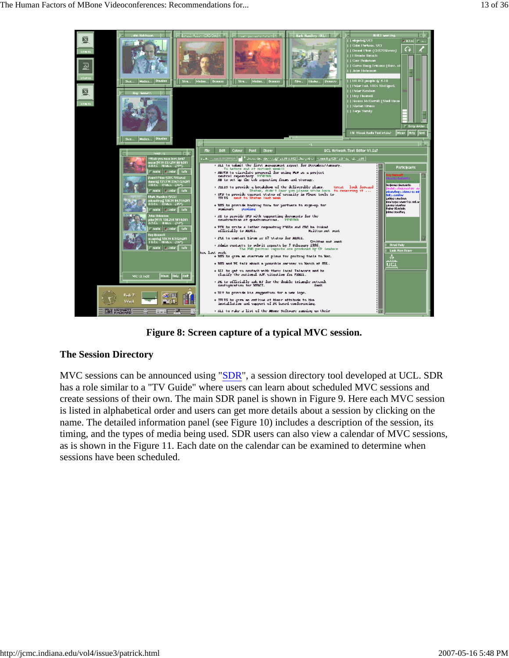

**Figure 8: Screen capture of a typical MVC session.**

#### **The Session Directory**

MVC sessions can be announced using "SDR", a session directory tool developed at UCL. SDR has a role similar to a "TV Guide" where users can learn about scheduled MVC sessions and create sessions of their own. The main SDR panel is shown in Figure 9. Here each MVC session is listed in alphabetical order and users can get more details about a session by clicking on the name. The detailed information panel (see Figure 10) includes a description of the session, its timing, and the types of media being used. SDR users can also view a calendar of MVC sessions, as is shown in the Figure 11. Each date on the calendar can be examined to determine when sessions have been scheduled.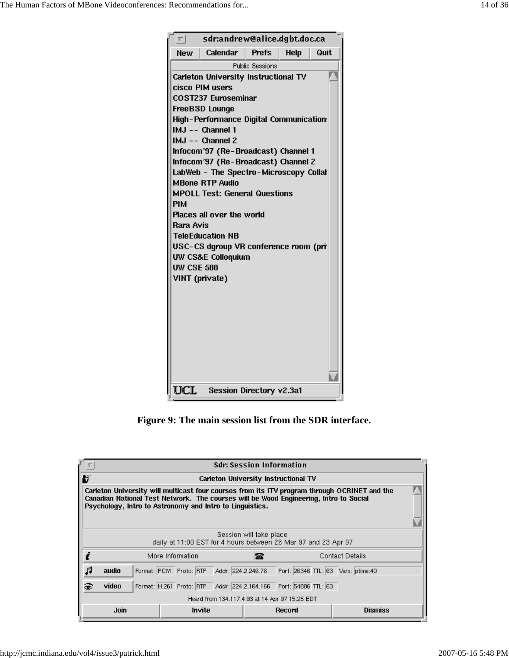|                                                                                                                                                                                                                                                                                                                                                                                                                                                                                                                                                                                                                     | sdr:andrew@alice.dgbt.doc.ca |              |             |      |  |  |  |
|---------------------------------------------------------------------------------------------------------------------------------------------------------------------------------------------------------------------------------------------------------------------------------------------------------------------------------------------------------------------------------------------------------------------------------------------------------------------------------------------------------------------------------------------------------------------------------------------------------------------|------------------------------|--------------|-------------|------|--|--|--|
| <b>New</b>                                                                                                                                                                                                                                                                                                                                                                                                                                                                                                                                                                                                          |                              | <b>Prefs</b> | <b>Help</b> | Quit |  |  |  |
| Calendar<br><b>Public Sessions</b><br>Carleton University Instructional TV<br>cisco PIM users<br>COST237 Euroseminar<br>FreeBSD Lounge<br><b>High-Performance Digital Communication:</b><br>IMJ -- Channel 1<br>IMJ -- Channel 2<br>Infocom'97 (Re-Broadcast) Channel 1<br>Infocom'97 (Re-Broadcast) Channel 2<br>LabWeb - The Spectro-Microscopy Collal<br><b>MBone RTP Audio</b><br><b>MPOLL Test: General Questions</b><br><b>PIM</b><br>Places all over the world<br>Rara Avis<br><b>TeleEducation NB</b><br>USC-CS dgroup VR conference room (pri<br>UW CS&E Colloquium<br><b>UW CSE 588</b><br>VINT (private) |                              |              |             |      |  |  |  |
| UCL<br>Session Directory v2.3a1                                                                                                                                                                                                                                                                                                                                                                                                                                                                                                                                                                                     |                              |              |             |      |  |  |  |

**Figure 9: The main session list from the SDR interface.**

| <b>Sdr: Session Information</b>                                                                                                                                                                                                                   |                                      |                          |                    |                                               |                        |  |  |  |
|---------------------------------------------------------------------------------------------------------------------------------------------------------------------------------------------------------------------------------------------------|--------------------------------------|--------------------------|--------------------|-----------------------------------------------|------------------------|--|--|--|
| B                                                                                                                                                                                                                                                 | Carleton University Instructional TV |                          |                    |                                               |                        |  |  |  |
| Carleton University will multicast four courses from its ITV program through OCRINET and the<br>Canadian National Test Network. The courses will be Wood Engineering, Intro to Social<br>Psychology, Intro to Astronomy and Intro to Linguistics. |                                      |                          |                    |                                               |                        |  |  |  |
| Session will take place<br>daily at 11:00 EST for 4 hours between 26 Mar 97 and 23 Apr 97                                                                                                                                                         |                                      |                          |                    |                                               |                        |  |  |  |
|                                                                                                                                                                                                                                                   |                                      | More Information         | 客                  |                                               | <b>Contact Details</b> |  |  |  |
|                                                                                                                                                                                                                                                   | audio                                | Format: PCM Proto: RTP   | Addr: 224.2.246.76 | Port: 26346 TTL: 63 Vars: ptime:40            |                        |  |  |  |
| c.                                                                                                                                                                                                                                                | video                                | Format: H.261 Proto: RTP |                    | Addr: 224.2.164.166    Port: 54886    TTL: 63 |                        |  |  |  |
| Heard from 134.117.4.93 at 14 Apr 97 15:25 EDT                                                                                                                                                                                                    |                                      |                          |                    |                                               |                        |  |  |  |
|                                                                                                                                                                                                                                                   | Join                                 | Invite                   |                    | Record                                        | <b>Dismiss</b>         |  |  |  |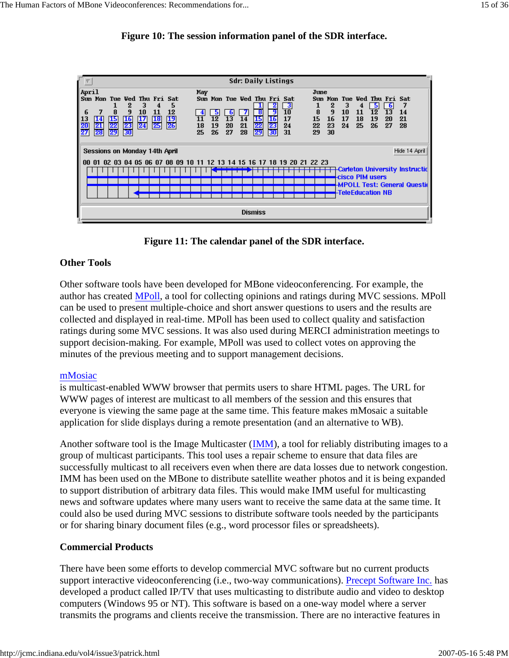



**Figure 11: The calendar panel of the SDR interface.**

### **Other Tools**

Other software tools have been developed for MBone videoconferencing. For example, the author has created MPoll, a tool for collecting opinions and ratings during MVC sessions. MPoll can be used to present multiple-choice and short answer questions to users and the results are collected and displayed in real-time. MPoll has been used to collect quality and satisfaction ratings during some MVC sessions. It was also used during MERCI administration meetings to support decision-making. For example, MPoll was used to collect votes on approving the minutes of the previous meeting and to support management decisions.

#### mMosiac

is multicast-enabled WWW browser that permits users to share HTML pages. The URL for WWW pages of interest are multicast to all members of the session and this ensures that everyone is viewing the same page at the same time. This feature makes mMosaic a suitable application for slide displays during a remote presentation (and an alternative to WB).

Another software tool is the Image Multicaster (IMM), a tool for reliably distributing images to a group of multicast participants. This tool uses a repair scheme to ensure that data files are successfully multicast to all receivers even when there are data losses due to network congestion. IMM has been used on the MBone to distribute satellite weather photos and it is being expanded to support distribution of arbitrary data files. This would make IMM useful for multicasting news and software updates where many users want to receive the same data at the same time. It could also be used during MVC sessions to distribute software tools needed by the participants or for sharing binary document files (e.g., word processor files or spreadsheets).

#### **Commercial Products**

There have been some efforts to develop commercial MVC software but no current products support interactive videoconferencing (i.e., two-way communications). Precept Software Inc. has developed a product called IP/TV that uses multicasting to distribute audio and video to desktop computers (Windows 95 or NT). This software is based on a one-way model where a server transmits the programs and clients receive the transmission. There are no interactive features in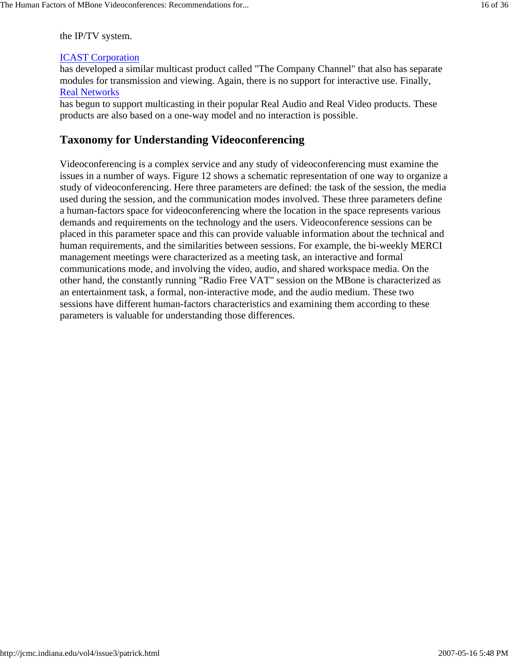the IP/TV system.

# ICAST Corporation

has developed a similar multicast product called "The Company Channel" that also has separate modules for transmission and viewing. Again, there is no support for interactive use. Finally, Real Networks

has begun to support multicasting in their popular Real Audio and Real Video products. These products are also based on a one-way model and no interaction is possible.

# **Taxonomy for Understanding Videoconferencing**

Videoconferencing is a complex service and any study of videoconferencing must examine the issues in a number of ways. Figure 12 shows a schematic representation of one way to organize a study of videoconferencing. Here three parameters are defined: the task of the session, the media used during the session, and the communication modes involved. These three parameters define a human-factors space for videoconferencing where the location in the space represents various demands and requirements on the technology and the users. Videoconference sessions can be placed in this parameter space and this can provide valuable information about the technical and human requirements, and the similarities between sessions. For example, the bi-weekly MERCI management meetings were characterized as a meeting task, an interactive and formal communications mode, and involving the video, audio, and shared workspace media. On the other hand, the constantly running "Radio Free VAT" session on the MBone is characterized as an entertainment task, a formal, non-interactive mode, and the audio medium. These two sessions have different human-factors characteristics and examining them according to these parameters is valuable for understanding those differences.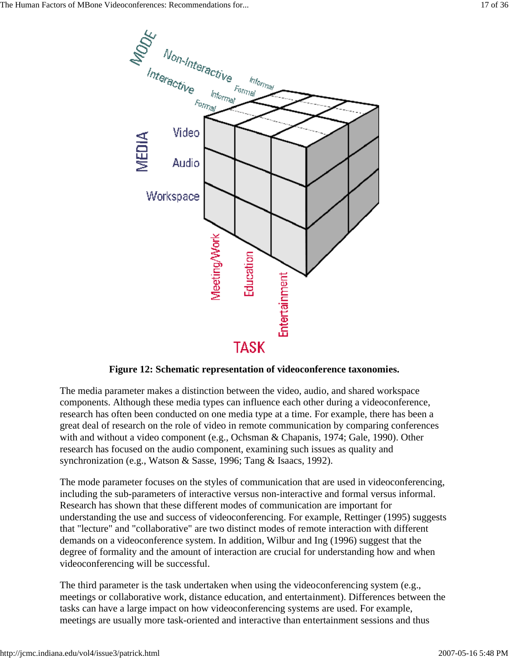

**Figure 12: Schematic representation of videoconference taxonomies.**

The media parameter makes a distinction between the video, audio, and shared workspace components. Although these media types can influence each other during a videoconference, research has often been conducted on one media type at a time. For example, there has been a great deal of research on the role of video in remote communication by comparing conferences with and without a video component (e.g., Ochsman & Chapanis, 1974; Gale, 1990). Other research has focused on the audio component, examining such issues as quality and synchronization (e.g., Watson & Sasse, 1996; Tang & Isaacs, 1992).

The mode parameter focuses on the styles of communication that are used in videoconferencing, including the sub-parameters of interactive versus non-interactive and formal versus informal. Research has shown that these different modes of communication are important for understanding the use and success of videoconferencing. For example, Rettinger (1995) suggests that "lecture" and "collaborative" are two distinct modes of remote interaction with different demands on a videoconference system. In addition, Wilbur and Ing (1996) suggest that the degree of formality and the amount of interaction are crucial for understanding how and when videoconferencing will be successful.

The third parameter is the task undertaken when using the videoconferencing system (e.g., meetings or collaborative work, distance education, and entertainment). Differences between the tasks can have a large impact on how videoconferencing systems are used. For example, meetings are usually more task-oriented and interactive than entertainment sessions and thus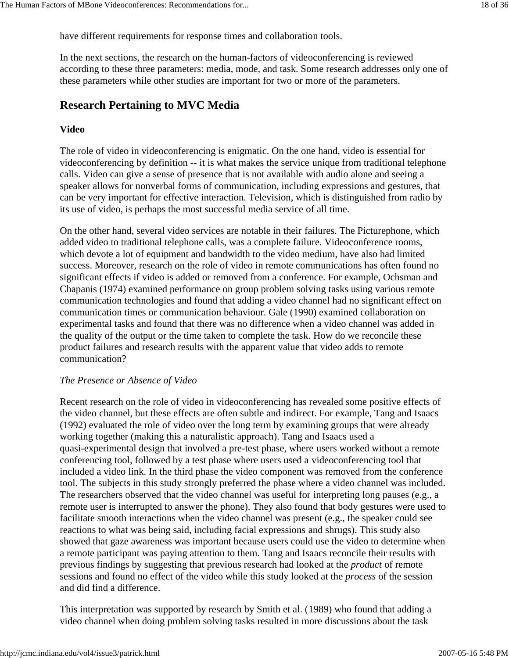have different requirements for response times and collaboration tools.

In the next sections, the research on the human-factors of videoconferencing is reviewed according to these three parameters: media, mode, and task. Some research addresses only one of these parameters while other studies are important for two or more of the parameters.

# **Research Pertaining to MVC Media**

## **Video**

The role of video in videoconferencing is enigmatic. On the one hand, video is essential for videoconferencing by definition -- it is what makes the service unique from traditional telephone calls. Video can give a sense of presence that is not available with audio alone and seeing a speaker allows for nonverbal forms of communication, including expressions and gestures, that can be very important for effective interaction. Television, which is distinguished from radio by its use of video, is perhaps the most successful media service of all time.

On the other hand, several video services are notable in their failures. The Picturephone, which added video to traditional telephone calls, was a complete failure. Videoconference rooms, which devote a lot of equipment and bandwidth to the video medium, have also had limited success. Moreover, research on the role of video in remote communications has often found no significant effects if video is added or removed from a conference. For example, Ochsman and Chapanis (1974) examined performance on group problem solving tasks using various remote communication technologies and found that adding a video channel had no significant effect on communication times or communication behaviour. Gale (1990) examined collaboration on experimental tasks and found that there was no difference when a video channel was added in the quality of the output or the time taken to complete the task. How do we reconcile these product failures and research results with the apparent value that video adds to remote communication?

#### *The Presence or Absence of Video*

Recent research on the role of video in videoconferencing has revealed some positive effects of the video channel, but these effects are often subtle and indirect. For example, Tang and Isaacs (1992) evaluated the role of video over the long term by examining groups that were already working together (making this a naturalistic approach). Tang and Isaacs used a quasi-experimental design that involved a pre-test phase, where users worked without a remote conferencing tool, followed by a test phase where users used a videoconferencing tool that included a video link. In the third phase the video component was removed from the conference tool. The subjects in this study strongly preferred the phase where a video channel was included. The researchers observed that the video channel was useful for interpreting long pauses (e.g., a remote user is interrupted to answer the phone). They also found that body gestures were used to facilitate smooth interactions when the video channel was present (e.g., the speaker could see reactions to what was being said, including facial expressions and shrugs). This study also showed that gaze awareness was important because users could use the video to determine when a remote participant was paying attention to them. Tang and Isaacs reconcile their results with previous findings by suggesting that previous research had looked at the *product* of remote sessions and found no effect of the video while this study looked at the *process* of the session and did find a difference.

This interpretation was supported by research by Smith et al. (1989) who found that adding a video channel when doing problem solving tasks resulted in more discussions about the task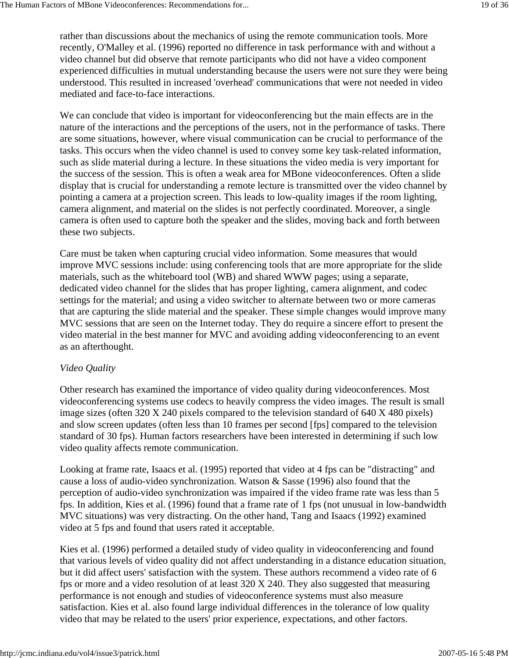rather than discussions about the mechanics of using the remote communication tools. More recently, O'Malley et al. (1996) reported no difference in task performance with and without a video channel but did observe that remote participants who did not have a video component experienced difficulties in mutual understanding because the users were not sure they were being understood. This resulted in increased 'overhead' communications that were not needed in video mediated and face-to-face interactions.

We can conclude that video is important for videoconferencing but the main effects are in the nature of the interactions and the perceptions of the users, not in the performance of tasks. There are some situations, however, where visual communication can be crucial to performance of the tasks. This occurs when the video channel is used to convey some key task-related information, such as slide material during a lecture. In these situations the video media is very important for the success of the session. This is often a weak area for MBone videoconferences. Often a slide display that is crucial for understanding a remote lecture is transmitted over the video channel by pointing a camera at a projection screen. This leads to low-quality images if the room lighting, camera alignment, and material on the slides is not perfectly coordinated. Moreover, a single camera is often used to capture both the speaker and the slides, moving back and forth between these two subjects.

Care must be taken when capturing crucial video information. Some measures that would improve MVC sessions include: using conferencing tools that are more appropriate for the slide materials, such as the whiteboard tool (WB) and shared WWW pages; using a separate, dedicated video channel for the slides that has proper lighting, camera alignment, and codec settings for the material; and using a video switcher to alternate between two or more cameras that are capturing the slide material and the speaker. These simple changes would improve many MVC sessions that are seen on the Internet today. They do require a sincere effort to present the video material in the best manner for MVC and avoiding adding videoconferencing to an event as an afterthought.

#### *Video Quality*

Other research has examined the importance of video quality during videoconferences. Most videoconferencing systems use codecs to heavily compress the video images. The result is small image sizes (often 320 X 240 pixels compared to the television standard of 640 X 480 pixels) and slow screen updates (often less than 10 frames per second [fps] compared to the television standard of 30 fps). Human factors researchers have been interested in determining if such low video quality affects remote communication.

Looking at frame rate, Isaacs et al. (1995) reported that video at 4 fps can be "distracting" and cause a loss of audio-video synchronization. Watson & Sasse (1996) also found that the perception of audio-video synchronization was impaired if the video frame rate was less than 5 fps. In addition, Kies et al. (1996) found that a frame rate of 1 fps (not unusual in low-bandwidth MVC situations) was very distracting. On the other hand, Tang and Isaacs (1992) examined video at 5 fps and found that users rated it acceptable.

Kies et al. (1996) performed a detailed study of video quality in videoconferencing and found that various levels of video quality did not affect understanding in a distance education situation, but it did affect users' satisfaction with the system. These authors recommend a video rate of 6 fps or more and a video resolution of at least 320 X 240. They also suggested that measuring performance is not enough and studies of videoconference systems must also measure satisfaction. Kies et al. also found large individual differences in the tolerance of low quality video that may be related to the users' prior experience, expectations, and other factors.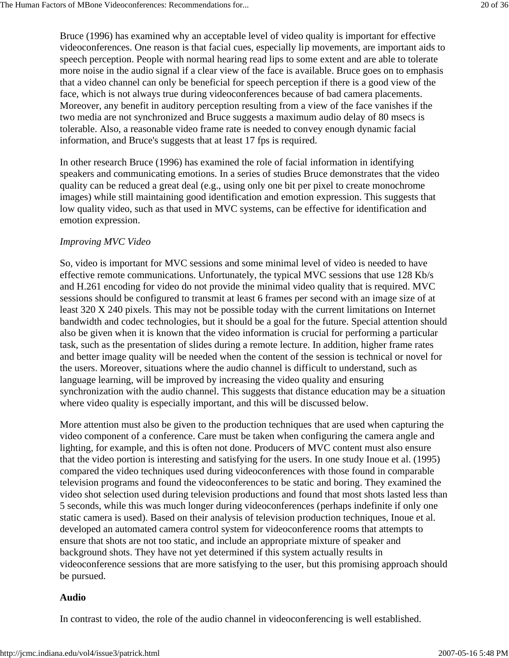Bruce (1996) has examined why an acceptable level of video quality is important for effective videoconferences. One reason is that facial cues, especially lip movements, are important aids to speech perception. People with normal hearing read lips to some extent and are able to tolerate more noise in the audio signal if a clear view of the face is available. Bruce goes on to emphasis that a video channel can only be beneficial for speech perception if there is a good view of the face, which is not always true during videoconferences because of bad camera placements. Moreover, any benefit in auditory perception resulting from a view of the face vanishes if the two media are not synchronized and Bruce suggests a maximum audio delay of 80 msecs is tolerable. Also, a reasonable video frame rate is needed to convey enough dynamic facial information, and Bruce's suggests that at least 17 fps is required.

In other research Bruce (1996) has examined the role of facial information in identifying speakers and communicating emotions. In a series of studies Bruce demonstrates that the video quality can be reduced a great deal (e.g., using only one bit per pixel to create monochrome images) while still maintaining good identification and emotion expression. This suggests that low quality video, such as that used in MVC systems, can be effective for identification and emotion expression.

#### *Improving MVC Video*

So, video is important for MVC sessions and some minimal level of video is needed to have effective remote communications. Unfortunately, the typical MVC sessions that use 128 Kb/s and H.261 encoding for video do not provide the minimal video quality that is required. MVC sessions should be configured to transmit at least 6 frames per second with an image size of at least 320 X 240 pixels. This may not be possible today with the current limitations on Internet bandwidth and codec technologies, but it should be a goal for the future. Special attention should also be given when it is known that the video information is crucial for performing a particular task, such as the presentation of slides during a remote lecture. In addition, higher frame rates and better image quality will be needed when the content of the session is technical or novel for the users. Moreover, situations where the audio channel is difficult to understand, such as language learning, will be improved by increasing the video quality and ensuring synchronization with the audio channel. This suggests that distance education may be a situation where video quality is especially important, and this will be discussed below.

More attention must also be given to the production techniques that are used when capturing the video component of a conference. Care must be taken when configuring the camera angle and lighting, for example, and this is often not done. Producers of MVC content must also ensure that the video portion is interesting and satisfying for the users. In one study Inoue et al. (1995) compared the video techniques used during videoconferences with those found in comparable television programs and found the videoconferences to be static and boring. They examined the video shot selection used during television productions and found that most shots lasted less than 5 seconds, while this was much longer during videoconferences (perhaps indefinite if only one static camera is used). Based on their analysis of television production techniques, Inoue et al. developed an automated camera control system for videoconference rooms that attempts to ensure that shots are not too static, and include an appropriate mixture of speaker and background shots. They have not yet determined if this system actually results in videoconference sessions that are more satisfying to the user, but this promising approach should be pursued.

#### **Audio**

In contrast to video, the role of the audio channel in videoconferencing is well established.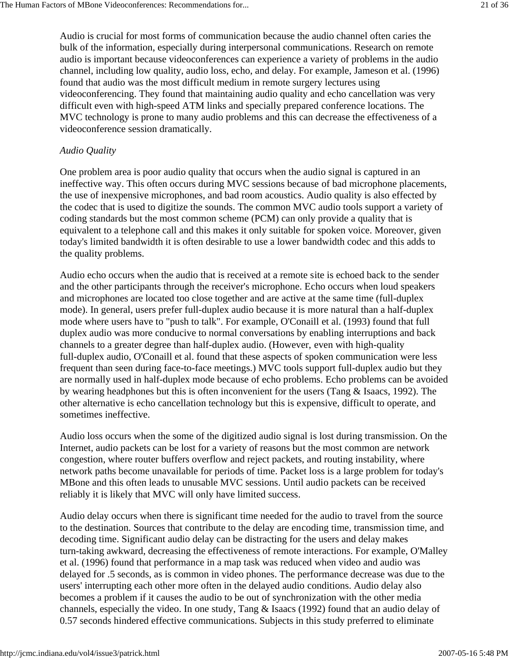Audio is crucial for most forms of communication because the audio channel often caries the bulk of the information, especially during interpersonal communications. Research on remote audio is important because videoconferences can experience a variety of problems in the audio channel, including low quality, audio loss, echo, and delay. For example, Jameson et al. (1996) found that audio was the most difficult medium in remote surgery lectures using videoconferencing. They found that maintaining audio quality and echo cancellation was very difficult even with high-speed ATM links and specially prepared conference locations. The MVC technology is prone to many audio problems and this can decrease the effectiveness of a videoconference session dramatically.

#### *Audio Quality*

One problem area is poor audio quality that occurs when the audio signal is captured in an ineffective way. This often occurs during MVC sessions because of bad microphone placements, the use of inexpensive microphones, and bad room acoustics. Audio quality is also effected by the codec that is used to digitize the sounds. The common MVC audio tools support a variety of coding standards but the most common scheme (PCM) can only provide a quality that is equivalent to a telephone call and this makes it only suitable for spoken voice. Moreover, given today's limited bandwidth it is often desirable to use a lower bandwidth codec and this adds to the quality problems.

Audio echo occurs when the audio that is received at a remote site is echoed back to the sender and the other participants through the receiver's microphone. Echo occurs when loud speakers and microphones are located too close together and are active at the same time (full-duplex mode). In general, users prefer full-duplex audio because it is more natural than a half-duplex mode where users have to "push to talk". For example, O'Conaill et al. (1993) found that full duplex audio was more conducive to normal conversations by enabling interruptions and back channels to a greater degree than half-duplex audio. (However, even with high-quality full-duplex audio, O'Conaill et al. found that these aspects of spoken communication were less frequent than seen during face-to-face meetings.) MVC tools support full-duplex audio but they are normally used in half-duplex mode because of echo problems. Echo problems can be avoided by wearing headphones but this is often inconvenient for the users (Tang & Isaacs, 1992). The other alternative is echo cancellation technology but this is expensive, difficult to operate, and sometimes ineffective.

Audio loss occurs when the some of the digitized audio signal is lost during transmission. On the Internet, audio packets can be lost for a variety of reasons but the most common are network congestion, where router buffers overflow and reject packets, and routing instability, where network paths become unavailable for periods of time. Packet loss is a large problem for today's MBone and this often leads to unusable MVC sessions. Until audio packets can be received reliably it is likely that MVC will only have limited success.

Audio delay occurs when there is significant time needed for the audio to travel from the source to the destination. Sources that contribute to the delay are encoding time, transmission time, and decoding time. Significant audio delay can be distracting for the users and delay makes turn-taking awkward, decreasing the effectiveness of remote interactions. For example, O'Malley et al. (1996) found that performance in a map task was reduced when video and audio was delayed for .5 seconds, as is common in video phones. The performance decrease was due to the users' interrupting each other more often in the delayed audio conditions. Audio delay also becomes a problem if it causes the audio to be out of synchronization with the other media channels, especially the video. In one study, Tang & Isaacs (1992) found that an audio delay of 0.57 seconds hindered effective communications. Subjects in this study preferred to eliminate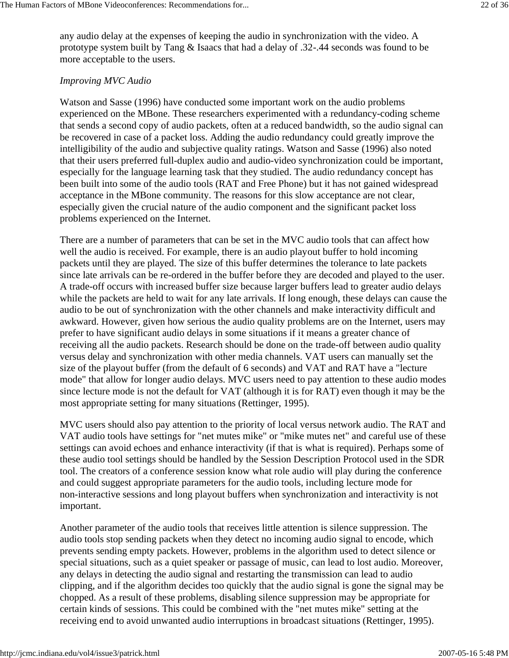any audio delay at the expenses of keeping the audio in synchronization with the video. A prototype system built by Tang & Isaacs that had a delay of .32-.44 seconds was found to be more acceptable to the users.

#### *Improving MVC Audio*

Watson and Sasse (1996) have conducted some important work on the audio problems experienced on the MBone. These researchers experimented with a redundancy-coding scheme that sends a second copy of audio packets, often at a reduced bandwidth, so the audio signal can be recovered in case of a packet loss. Adding the audio redundancy could greatly improve the intelligibility of the audio and subjective quality ratings. Watson and Sasse (1996) also noted that their users preferred full-duplex audio and audio-video synchronization could be important, especially for the language learning task that they studied. The audio redundancy concept has been built into some of the audio tools (RAT and Free Phone) but it has not gained widespread acceptance in the MBone community. The reasons for this slow acceptance are not clear, especially given the crucial nature of the audio component and the significant packet loss problems experienced on the Internet.

There are a number of parameters that can be set in the MVC audio tools that can affect how well the audio is received. For example, there is an audio playout buffer to hold incoming packets until they are played. The size of this buffer determines the tolerance to late packets since late arrivals can be re-ordered in the buffer before they are decoded and played to the user. A trade-off occurs with increased buffer size because larger buffers lead to greater audio delays while the packets are held to wait for any late arrivals. If long enough, these delays can cause the audio to be out of synchronization with the other channels and make interactivity difficult and awkward. However, given how serious the audio quality problems are on the Internet, users may prefer to have significant audio delays in some situations if it means a greater chance of receiving all the audio packets. Research should be done on the trade-off between audio quality versus delay and synchronization with other media channels. VAT users can manually set the size of the playout buffer (from the default of 6 seconds) and VAT and RAT have a "lecture mode" that allow for longer audio delays. MVC users need to pay attention to these audio modes since lecture mode is not the default for VAT (although it is for RAT) even though it may be the most appropriate setting for many situations (Rettinger, 1995).

MVC users should also pay attention to the priority of local versus network audio. The RAT and VAT audio tools have settings for "net mutes mike" or "mike mutes net" and careful use of these settings can avoid echoes and enhance interactivity (if that is what is required). Perhaps some of these audio tool settings should be handled by the Session Description Protocol used in the SDR tool. The creators of a conference session know what role audio will play during the conference and could suggest appropriate parameters for the audio tools, including lecture mode for non-interactive sessions and long playout buffers when synchronization and interactivity is not important.

Another parameter of the audio tools that receives little attention is silence suppression. The audio tools stop sending packets when they detect no incoming audio signal to encode, which prevents sending empty packets. However, problems in the algorithm used to detect silence or special situations, such as a quiet speaker or passage of music, can lead to lost audio. Moreover, any delays in detecting the audio signal and restarting the transmission can lead to audio clipping, and if the algorithm decides too quickly that the audio signal is gone the signal may be chopped. As a result of these problems, disabling silence suppression may be appropriate for certain kinds of sessions. This could be combined with the "net mutes mike" setting at the receiving end to avoid unwanted audio interruptions in broadcast situations (Rettinger, 1995).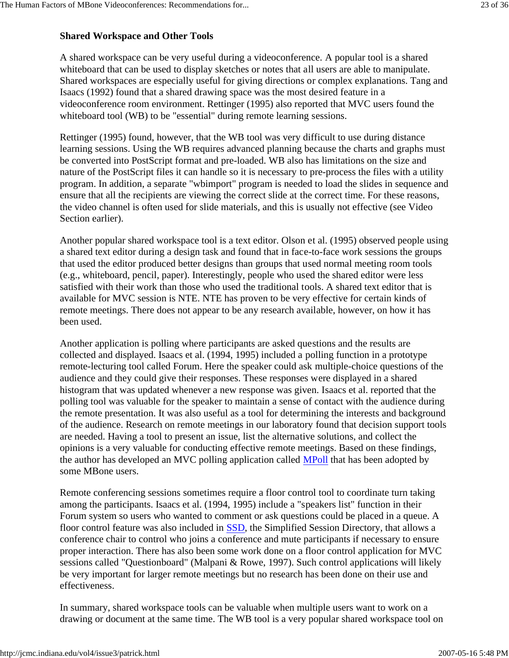## **Shared Workspace and Other Tools**

A shared workspace can be very useful during a videoconference. A popular tool is a shared whiteboard that can be used to display sketches or notes that all users are able to manipulate. Shared workspaces are especially useful for giving directions or complex explanations. Tang and Isaacs (1992) found that a shared drawing space was the most desired feature in a videoconference room environment. Rettinger (1995) also reported that MVC users found the whiteboard tool (WB) to be "essential" during remote learning sessions.

Rettinger (1995) found, however, that the WB tool was very difficult to use during distance learning sessions. Using the WB requires advanced planning because the charts and graphs must be converted into PostScript format and pre-loaded. WB also has limitations on the size and nature of the PostScript files it can handle so it is necessary to pre-process the files with a utility program. In addition, a separate "wbimport" program is needed to load the slides in sequence and ensure that all the recipients are viewing the correct slide at the correct time. For these reasons, the video channel is often used for slide materials, and this is usually not effective (see Video Section earlier).

Another popular shared workspace tool is a text editor. Olson et al. (1995) observed people using a shared text editor during a design task and found that in face-to-face work sessions the groups that used the editor produced better designs than groups that used normal meeting room tools (e.g., whiteboard, pencil, paper). Interestingly, people who used the shared editor were less satisfied with their work than those who used the traditional tools. A shared text editor that is available for MVC session is NTE. NTE has proven to be very effective for certain kinds of remote meetings. There does not appear to be any research available, however, on how it has been used.

Another application is polling where participants are asked questions and the results are collected and displayed. Isaacs et al. (1994, 1995) included a polling function in a prototype remote-lecturing tool called Forum. Here the speaker could ask multiple-choice questions of the audience and they could give their responses. These responses were displayed in a shared histogram that was updated whenever a new response was given. Isaacs et al. reported that the polling tool was valuable for the speaker to maintain a sense of contact with the audience during the remote presentation. It was also useful as a tool for determining the interests and background of the audience. Research on remote meetings in our laboratory found that decision support tools are needed. Having a tool to present an issue, list the alternative solutions, and collect the opinions is a very valuable for conducting effective remote meetings. Based on these findings, the author has developed an MVC polling application called MPoll that has been adopted by some MBone users.

Remote conferencing sessions sometimes require a floor control tool to coordinate turn taking among the participants. Isaacs et al. (1994, 1995) include a "speakers list" function in their Forum system so users who wanted to comment or ask questions could be placed in a queue. A floor control feature was also included in SSD, the Simplified Session Directory, that allows a conference chair to control who joins a conference and mute participants if necessary to ensure proper interaction. There has also been some work done on a floor control application for MVC sessions called "Questionboard" (Malpani & Rowe, 1997). Such control applications will likely be very important for larger remote meetings but no research has been done on their use and effectiveness.

In summary, shared workspace tools can be valuable when multiple users want to work on a drawing or document at the same time. The WB tool is a very popular shared workspace tool on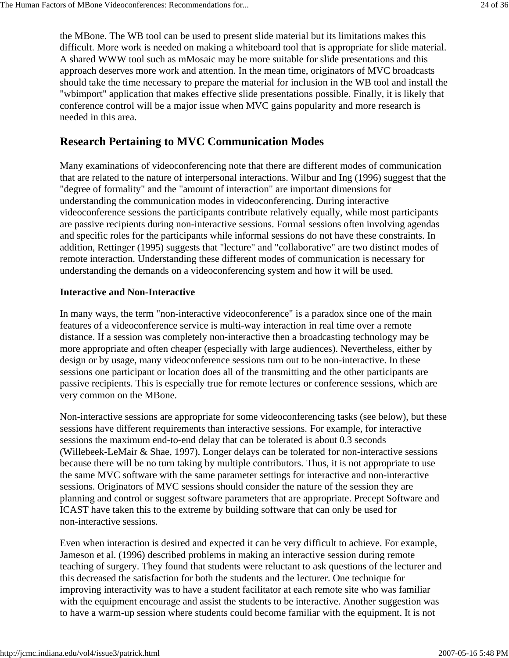the MBone. The WB tool can be used to present slide material but its limitations makes this difficult. More work is needed on making a whiteboard tool that is appropriate for slide material. A shared WWW tool such as mMosaic may be more suitable for slide presentations and this approach deserves more work and attention. In the mean time, originators of MVC broadcasts should take the time necessary to prepare the material for inclusion in the WB tool and install the "wbimport" application that makes effective slide presentations possible. Finally, it is likely that conference control will be a major issue when MVC gains popularity and more research is needed in this area.

## **Research Pertaining to MVC Communication Modes**

Many examinations of videoconferencing note that there are different modes of communication that are related to the nature of interpersonal interactions. Wilbur and Ing (1996) suggest that the "degree of formality" and the "amount of interaction" are important dimensions for understanding the communication modes in videoconferencing. During interactive videoconference sessions the participants contribute relatively equally, while most participants are passive recipients during non-interactive sessions. Formal sessions often involving agendas and specific roles for the participants while informal sessions do not have these constraints. In addition, Rettinger (1995) suggests that "lecture" and "collaborative" are two distinct modes of remote interaction. Understanding these different modes of communication is necessary for understanding the demands on a videoconferencing system and how it will be used.

#### **Interactive and Non-Interactive**

In many ways, the term "non-interactive videoconference" is a paradox since one of the main features of a videoconference service is multi-way interaction in real time over a remote distance. If a session was completely non-interactive then a broadcasting technology may be more appropriate and often cheaper (especially with large audiences). Nevertheless, either by design or by usage, many videoconference sessions turn out to be non-interactive. In these sessions one participant or location does all of the transmitting and the other participants are passive recipients. This is especially true for remote lectures or conference sessions, which are very common on the MBone.

Non-interactive sessions are appropriate for some videoconferencing tasks (see below), but these sessions have different requirements than interactive sessions. For example, for interactive sessions the maximum end-to-end delay that can be tolerated is about 0.3 seconds (Willebeek-LeMair & Shae, 1997). Longer delays can be tolerated for non-interactive sessions because there will be no turn taking by multiple contributors. Thus, it is not appropriate to use the same MVC software with the same parameter settings for interactive and non-interactive sessions. Originators of MVC sessions should consider the nature of the session they are planning and control or suggest software parameters that are appropriate. Precept Software and ICAST have taken this to the extreme by building software that can only be used for non-interactive sessions.

Even when interaction is desired and expected it can be very difficult to achieve. For example, Jameson et al. (1996) described problems in making an interactive session during remote teaching of surgery. They found that students were reluctant to ask questions of the lecturer and this decreased the satisfaction for both the students and the lecturer. One technique for improving interactivity was to have a student facilitator at each remote site who was familiar with the equipment encourage and assist the students to be interactive. Another suggestion was to have a warm-up session where students could become familiar with the equipment. It is not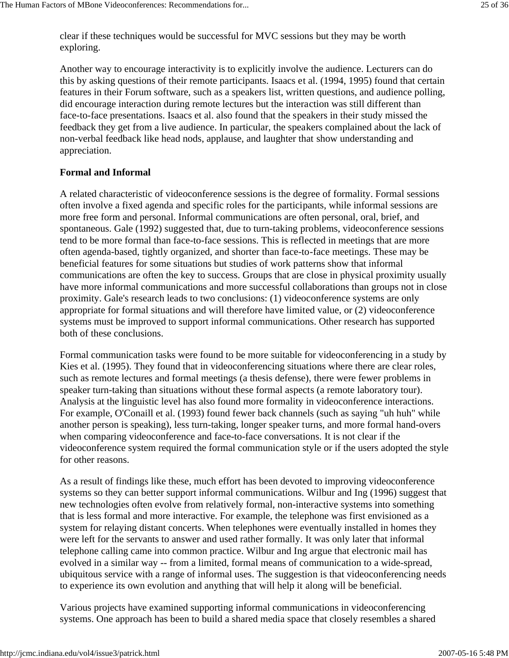clear if these techniques would be successful for MVC sessions but they may be worth exploring.

Another way to encourage interactivity is to explicitly involve the audience. Lecturers can do this by asking questions of their remote participants. Isaacs et al. (1994, 1995) found that certain features in their Forum software, such as a speakers list, written questions, and audience polling, did encourage interaction during remote lectures but the interaction was still different than face-to-face presentations. Isaacs et al. also found that the speakers in their study missed the feedback they get from a live audience. In particular, the speakers complained about the lack of non-verbal feedback like head nods, applause, and laughter that show understanding and appreciation.

#### **Formal and Informal**

A related characteristic of videoconference sessions is the degree of formality. Formal sessions often involve a fixed agenda and specific roles for the participants, while informal sessions are more free form and personal. Informal communications are often personal, oral, brief, and spontaneous. Gale (1992) suggested that, due to turn-taking problems, videoconference sessions tend to be more formal than face-to-face sessions. This is reflected in meetings that are more often agenda-based, tightly organized, and shorter than face-to-face meetings. These may be beneficial features for some situations but studies of work patterns show that informal communications are often the key to success. Groups that are close in physical proximity usually have more informal communications and more successful collaborations than groups not in close proximity. Gale's research leads to two conclusions: (1) videoconference systems are only appropriate for formal situations and will therefore have limited value, or (2) videoconference systems must be improved to support informal communications. Other research has supported both of these conclusions.

Formal communication tasks were found to be more suitable for videoconferencing in a study by Kies et al. (1995). They found that in videoconferencing situations where there are clear roles, such as remote lectures and formal meetings (a thesis defense), there were fewer problems in speaker turn-taking than situations without these formal aspects (a remote laboratory tour). Analysis at the linguistic level has also found more formality in videoconference interactions. For example, O'Conaill et al. (1993) found fewer back channels (such as saying "uh huh" while another person is speaking), less turn-taking, longer speaker turns, and more formal hand-overs when comparing videoconference and face-to-face conversations. It is not clear if the videoconference system required the formal communication style or if the users adopted the style for other reasons.

As a result of findings like these, much effort has been devoted to improving videoconference systems so they can better support informal communications. Wilbur and Ing (1996) suggest that new technologies often evolve from relatively formal, non-interactive systems into something that is less formal and more interactive. For example, the telephone was first envisioned as a system for relaying distant concerts. When telephones were eventually installed in homes they were left for the servants to answer and used rather formally. It was only later that informal telephone calling came into common practice. Wilbur and Ing argue that electronic mail has evolved in a similar way -- from a limited, formal means of communication to a wide-spread, ubiquitous service with a range of informal uses. The suggestion is that videoconferencing needs to experience its own evolution and anything that will help it along will be beneficial.

Various projects have examined supporting informal communications in videoconferencing systems. One approach has been to build a shared media space that closely resembles a shared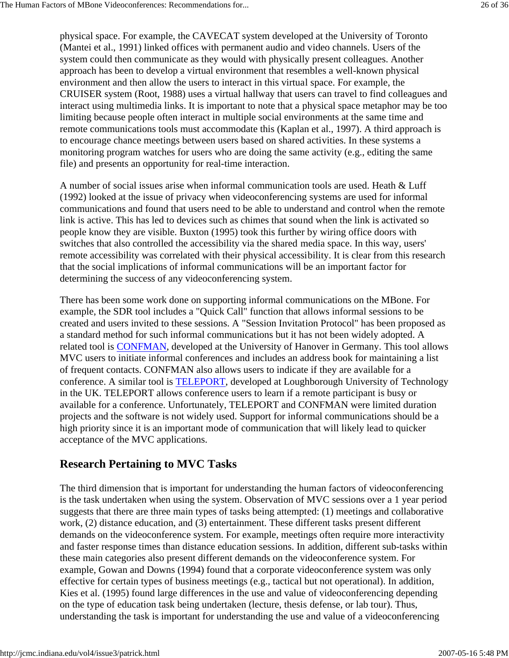physical space. For example, the CAVECAT system developed at the University of Toronto (Mantei et al., 1991) linked offices with permanent audio and video channels. Users of the system could then communicate as they would with physically present colleagues. Another approach has been to develop a virtual environment that resembles a well-known physical environment and then allow the users to interact in this virtual space. For example, the CRUISER system (Root, 1988) uses a virtual hallway that users can travel to find colleagues and interact using multimedia links. It is important to note that a physical space metaphor may be too limiting because people often interact in multiple social environments at the same time and remote communications tools must accommodate this (Kaplan et al., 1997). A third approach is to encourage chance meetings between users based on shared activities. In these systems a monitoring program watches for users who are doing the same activity (e.g., editing the same file) and presents an opportunity for real-time interaction.

A number of social issues arise when informal communication tools are used. Heath & Luff (1992) looked at the issue of privacy when videoconferencing systems are used for informal communications and found that users need to be able to understand and control when the remote link is active. This has led to devices such as chimes that sound when the link is activated so people know they are visible. Buxton (1995) took this further by wiring office doors with switches that also controlled the accessibility via the shared media space. In this way, users' remote accessibility was correlated with their physical accessibility. It is clear from this research that the social implications of informal communications will be an important factor for determining the success of any videoconferencing system.

There has been some work done on supporting informal communications on the MBone. For example, the SDR tool includes a "Quick Call" function that allows informal sessions to be created and users invited to these sessions. A "Session Invitation Protocol" has been proposed as a standard method for such informal communications but it has not been widely adopted. A related tool is CONFMAN, developed at the University of Hanover in Germany. This tool allows MVC users to initiate informal conferences and includes an address book for maintaining a list of frequent contacts. CONFMAN also allows users to indicate if they are available for a conference. A similar tool is TELEPORT, developed at Loughborough University of Technology in the UK. TELEPORT allows conference users to learn if a remote participant is busy or available for a conference. Unfortunately, TELEPORT and CONFMAN were limited duration projects and the software is not widely used. Support for informal communications should be a high priority since it is an important mode of communication that will likely lead to quicker acceptance of the MVC applications.

# **Research Pertaining to MVC Tasks**

The third dimension that is important for understanding the human factors of videoconferencing is the task undertaken when using the system. Observation of MVC sessions over a 1 year period suggests that there are three main types of tasks being attempted: (1) meetings and collaborative work, (2) distance education, and (3) entertainment. These different tasks present different demands on the videoconference system. For example, meetings often require more interactivity and faster response times than distance education sessions. In addition, different sub-tasks within these main categories also present different demands on the videoconference system. For example, Gowan and Downs (1994) found that a corporate videoconference system was only effective for certain types of business meetings (e.g., tactical but not operational). In addition, Kies et al. (1995) found large differences in the use and value of videoconferencing depending on the type of education task being undertaken (lecture, thesis defense, or lab tour). Thus, understanding the task is important for understanding the use and value of a videoconferencing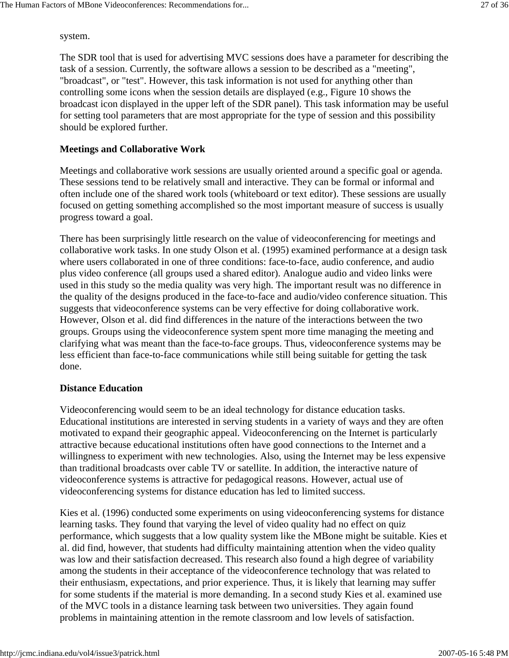system.

The SDR tool that is used for advertising MVC sessions does have a parameter for describing the task of a session. Currently, the software allows a session to be described as a "meeting", "broadcast", or "test". However, this task information is not used for anything other than controlling some icons when the session details are displayed (e.g., Figure 10 shows the broadcast icon displayed in the upper left of the SDR panel). This task information may be useful for setting tool parameters that are most appropriate for the type of session and this possibility should be explored further.

### **Meetings and Collaborative Work**

Meetings and collaborative work sessions are usually oriented around a specific goal or agenda. These sessions tend to be relatively small and interactive. They can be formal or informal and often include one of the shared work tools (whiteboard or text editor). These sessions are usually focused on getting something accomplished so the most important measure of success is usually progress toward a goal.

There has been surprisingly little research on the value of videoconferencing for meetings and collaborative work tasks. In one study Olson et al. (1995) examined performance at a design task where users collaborated in one of three conditions: face-to-face, audio conference, and audio plus video conference (all groups used a shared editor). Analogue audio and video links were used in this study so the media quality was very high. The important result was no difference in the quality of the designs produced in the face-to-face and audio/video conference situation. This suggests that videoconference systems can be very effective for doing collaborative work. However, Olson et al. did find differences in the nature of the interactions between the two groups. Groups using the videoconference system spent more time managing the meeting and clarifying what was meant than the face-to-face groups. Thus, videoconference systems may be less efficient than face-to-face communications while still being suitable for getting the task done.

#### **Distance Education**

Videoconferencing would seem to be an ideal technology for distance education tasks. Educational institutions are interested in serving students in a variety of ways and they are often motivated to expand their geographic appeal. Videoconferencing on the Internet is particularly attractive because educational institutions often have good connections to the Internet and a willingness to experiment with new technologies. Also, using the Internet may be less expensive than traditional broadcasts over cable TV or satellite. In addition, the interactive nature of videoconference systems is attractive for pedagogical reasons. However, actual use of videoconferencing systems for distance education has led to limited success.

Kies et al. (1996) conducted some experiments on using videoconferencing systems for distance learning tasks. They found that varying the level of video quality had no effect on quiz performance, which suggests that a low quality system like the MBone might be suitable. Kies et al. did find, however, that students had difficulty maintaining attention when the video quality was low and their satisfaction decreased. This research also found a high degree of variability among the students in their acceptance of the videoconference technology that was related to their enthusiasm, expectations, and prior experience. Thus, it is likely that learning may suffer for some students if the material is more demanding. In a second study Kies et al. examined use of the MVC tools in a distance learning task between two universities. They again found problems in maintaining attention in the remote classroom and low levels of satisfaction.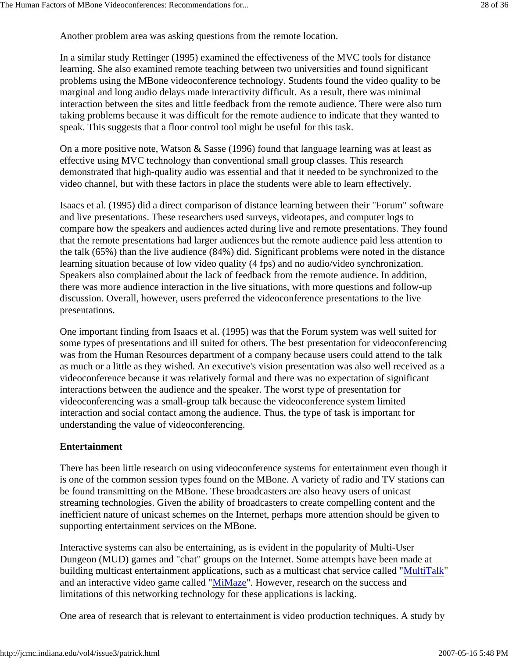Another problem area was asking questions from the remote location.

In a similar study Rettinger (1995) examined the effectiveness of the MVC tools for distance learning. She also examined remote teaching between two universities and found significant problems using the MBone videoconference technology. Students found the video quality to be marginal and long audio delays made interactivity difficult. As a result, there was minimal interaction between the sites and little feedback from the remote audience. There were also turn taking problems because it was difficult for the remote audience to indicate that they wanted to speak. This suggests that a floor control tool might be useful for this task.

On a more positive note, Watson & Sasse (1996) found that language learning was at least as effective using MVC technology than conventional small group classes. This research demonstrated that high-quality audio was essential and that it needed to be synchronized to the video channel, but with these factors in place the students were able to learn effectively.

Isaacs et al. (1995) did a direct comparison of distance learning between their "Forum" software and live presentations. These researchers used surveys, videotapes, and computer logs to compare how the speakers and audiences acted during live and remote presentations. They found that the remote presentations had larger audiences but the remote audience paid less attention to the talk (65%) than the live audience (84%) did. Significant problems were noted in the distance learning situation because of low video quality (4 fps) and no audio/video synchronization. Speakers also complained about the lack of feedback from the remote audience. In addition, there was more audience interaction in the live situations, with more questions and follow-up discussion. Overall, however, users preferred the videoconference presentations to the live presentations.

One important finding from Isaacs et al. (1995) was that the Forum system was well suited for some types of presentations and ill suited for others. The best presentation for videoconferencing was from the Human Resources department of a company because users could attend to the talk as much or a little as they wished. An executive's vision presentation was also well received as a videoconference because it was relatively formal and there was no expectation of significant interactions between the audience and the speaker. The worst type of presentation for videoconferencing was a small-group talk because the videoconference system limited interaction and social contact among the audience. Thus, the type of task is important for understanding the value of videoconferencing.

## **Entertainment**

There has been little research on using videoconference systems for entertainment even though it is one of the common session types found on the MBone. A variety of radio and TV stations can be found transmitting on the MBone. These broadcasters are also heavy users of unicast streaming technologies. Given the ability of broadcasters to create compelling content and the inefficient nature of unicast schemes on the Internet, perhaps more attention should be given to supporting entertainment services on the MBone.

Interactive systems can also be entertaining, as is evident in the popularity of Multi-User Dungeon (MUD) games and "chat" groups on the Internet. Some attempts have been made at building multicast entertainment applications, such as a multicast chat service called "MultiTalk" and an interactive video game called "MiMaze". However, research on the success and limitations of this networking technology for these applications is lacking.

One area of research that is relevant to entertainment is video production techniques. A study by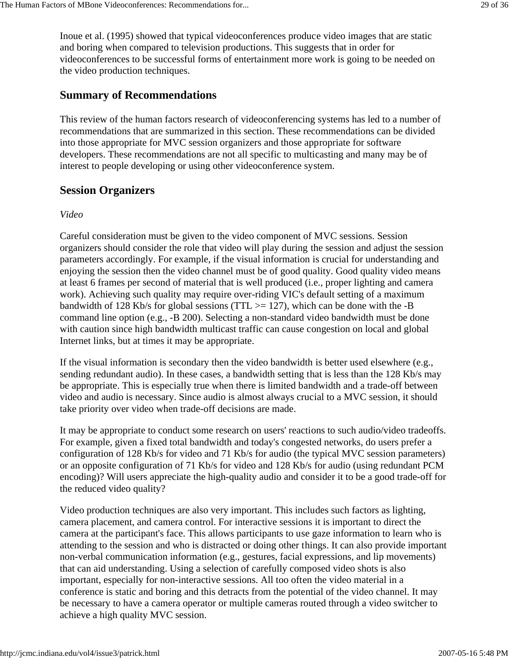Inoue et al. (1995) showed that typical videoconferences produce video images that are static and boring when compared to television productions. This suggests that in order for videoconferences to be successful forms of entertainment more work is going to be needed on the video production techniques.

# **Summary of Recommendations**

This review of the human factors research of videoconferencing systems has led to a number of recommendations that are summarized in this section. These recommendations can be divided into those appropriate for MVC session organizers and those appropriate for software developers. These recommendations are not all specific to multicasting and many may be of interest to people developing or using other videoconference system.

# **Session Organizers**

#### *Video*

Careful consideration must be given to the video component of MVC sessions. Session organizers should consider the role that video will play during the session and adjust the session parameters accordingly. For example, if the visual information is crucial for understanding and enjoying the session then the video channel must be of good quality. Good quality video means at least 6 frames per second of material that is well produced (i.e., proper lighting and camera work). Achieving such quality may require over-riding VIC's default setting of a maximum bandwidth of 128 Kb/s for global sessions (TTL  $\ge$  = 127), which can be done with the -B command line option (e.g., -B 200). Selecting a non-standard video bandwidth must be done with caution since high bandwidth multicast traffic can cause congestion on local and global Internet links, but at times it may be appropriate.

If the visual information is secondary then the video bandwidth is better used elsewhere (e.g., sending redundant audio). In these cases, a bandwidth setting that is less than the 128 Kb/s may be appropriate. This is especially true when there is limited bandwidth and a trade-off between video and audio is necessary. Since audio is almost always crucial to a MVC session, it should take priority over video when trade-off decisions are made.

It may be appropriate to conduct some research on users' reactions to such audio/video tradeoffs. For example, given a fixed total bandwidth and today's congested networks, do users prefer a configuration of 128 Kb/s for video and 71 Kb/s for audio (the typical MVC session parameters) or an opposite configuration of 71 Kb/s for video and 128 Kb/s for audio (using redundant PCM encoding)? Will users appreciate the high-quality audio and consider it to be a good trade-off for the reduced video quality?

Video production techniques are also very important. This includes such factors as lighting, camera placement, and camera control. For interactive sessions it is important to direct the camera at the participant's face. This allows participants to use gaze information to learn who is attending to the session and who is distracted or doing other things. It can also provide important non-verbal communication information (e.g., gestures, facial expressions, and lip movements) that can aid understanding. Using a selection of carefully composed video shots is also important, especially for non-interactive sessions. All too often the video material in a conference is static and boring and this detracts from the potential of the video channel. It may be necessary to have a camera operator or multiple cameras routed through a video switcher to achieve a high quality MVC session.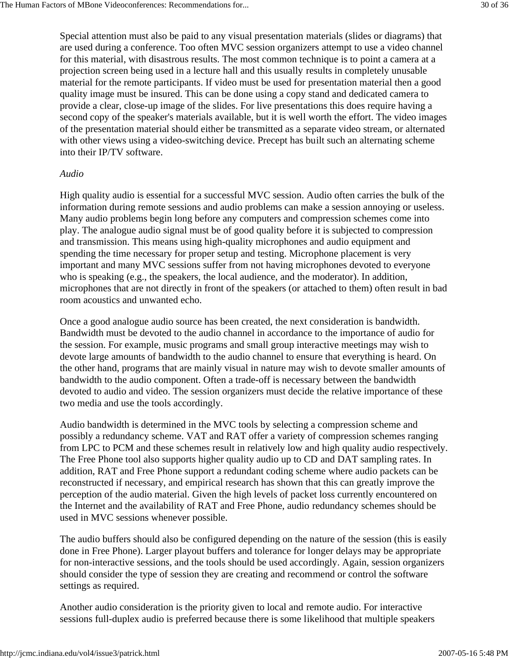Special attention must also be paid to any visual presentation materials (slides or diagrams) that are used during a conference. Too often MVC session organizers attempt to use a video channel for this material, with disastrous results. The most common technique is to point a camera at a projection screen being used in a lecture hall and this usually results in completely unusable material for the remote participants. If video must be used for presentation material then a good quality image must be insured. This can be done using a copy stand and dedicated camera to provide a clear, close-up image of the slides. For live presentations this does require having a second copy of the speaker's materials available, but it is well worth the effort. The video images of the presentation material should either be transmitted as a separate video stream, or alternated with other views using a video-switching device. Precept has built such an alternating scheme into their IP/TV software.

#### *Audio*

High quality audio is essential for a successful MVC session. Audio often carries the bulk of the information during remote sessions and audio problems can make a session annoying or useless. Many audio problems begin long before any computers and compression schemes come into play. The analogue audio signal must be of good quality before it is subjected to compression and transmission. This means using high-quality microphones and audio equipment and spending the time necessary for proper setup and testing. Microphone placement is very important and many MVC sessions suffer from not having microphones devoted to everyone who is speaking (e.g., the speakers, the local audience, and the moderator). In addition, microphones that are not directly in front of the speakers (or attached to them) often result in bad room acoustics and unwanted echo.

Once a good analogue audio source has been created, the next consideration is bandwidth. Bandwidth must be devoted to the audio channel in accordance to the importance of audio for the session. For example, music programs and small group interactive meetings may wish to devote large amounts of bandwidth to the audio channel to ensure that everything is heard. On the other hand, programs that are mainly visual in nature may wish to devote smaller amounts of bandwidth to the audio component. Often a trade-off is necessary between the bandwidth devoted to audio and video. The session organizers must decide the relative importance of these two media and use the tools accordingly.

Audio bandwidth is determined in the MVC tools by selecting a compression scheme and possibly a redundancy scheme. VAT and RAT offer a variety of compression schemes ranging from LPC to PCM and these schemes result in relatively low and high quality audio respectively. The Free Phone tool also supports higher quality audio up to CD and DAT sampling rates. In addition, RAT and Free Phone support a redundant coding scheme where audio packets can be reconstructed if necessary, and empirical research has shown that this can greatly improve the perception of the audio material. Given the high levels of packet loss currently encountered on the Internet and the availability of RAT and Free Phone, audio redundancy schemes should be used in MVC sessions whenever possible.

The audio buffers should also be configured depending on the nature of the session (this is easily done in Free Phone). Larger playout buffers and tolerance for longer delays may be appropriate for non-interactive sessions, and the tools should be used accordingly. Again, session organizers should consider the type of session they are creating and recommend or control the software settings as required.

Another audio consideration is the priority given to local and remote audio. For interactive sessions full-duplex audio is preferred because there is some likelihood that multiple speakers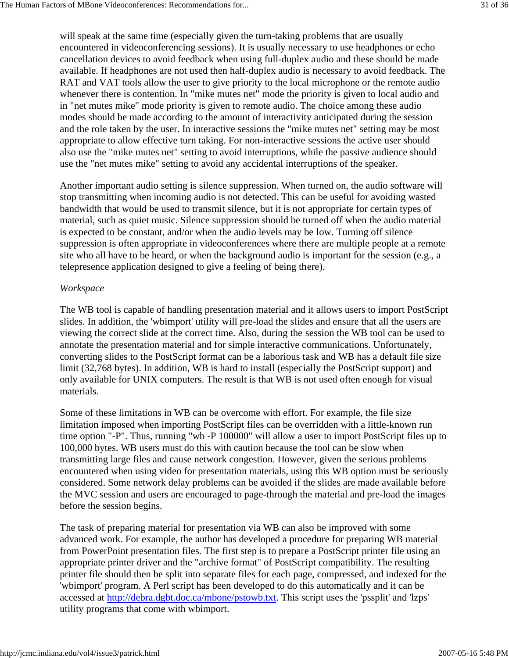will speak at the same time (especially given the turn-taking problems that are usually encountered in videoconferencing sessions). It is usually necessary to use headphones or echo cancellation devices to avoid feedback when using full-duplex audio and these should be made available. If headphones are not used then half-duplex audio is necessary to avoid feedback. The RAT and VAT tools allow the user to give priority to the local microphone or the remote audio whenever there is contention. In "mike mutes net" mode the priority is given to local audio and in "net mutes mike" mode priority is given to remote audio. The choice among these audio modes should be made according to the amount of interactivity anticipated during the session and the role taken by the user. In interactive sessions the "mike mutes net" setting may be most appropriate to allow effective turn taking. For non-interactive sessions the active user should also use the "mike mutes net" setting to avoid interruptions, while the passive audience should use the "net mutes mike" setting to avoid any accidental interruptions of the speaker.

Another important audio setting is silence suppression. When turned on, the audio software will stop transmitting when incoming audio is not detected. This can be useful for avoiding wasted bandwidth that would be used to transmit silence, but it is not appropriate for certain types of material, such as quiet music. Silence suppression should be turned off when the audio material is expected to be constant, and/or when the audio levels may be low. Turning off silence suppression is often appropriate in videoconferences where there are multiple people at a remote site who all have to be heard, or when the background audio is important for the session (e.g., a telepresence application designed to give a feeling of being there).

#### *Workspace*

The WB tool is capable of handling presentation material and it allows users to import PostScript slides. In addition, the 'wbimport' utility will pre-load the slides and ensure that all the users are viewing the correct slide at the correct time. Also, during the session the WB tool can be used to annotate the presentation material and for simple interactive communications. Unfortunately, converting slides to the PostScript format can be a laborious task and WB has a default file size limit (32,768 bytes). In addition, WB is hard to install (especially the PostScript support) and only available for UNIX computers. The result is that WB is not used often enough for visual materials.

Some of these limitations in WB can be overcome with effort. For example, the file size limitation imposed when importing PostScript files can be overridden with a little-known run time option "-P". Thus, running "wb -P 100000" will allow a user to import PostScript files up to 100,000 bytes. WB users must do this with caution because the tool can be slow when transmitting large files and cause network congestion. However, given the serious problems encountered when using video for presentation materials, using this WB option must be seriously considered. Some network delay problems can be avoided if the slides are made available before the MVC session and users are encouraged to page-through the material and pre-load the images before the session begins.

The task of preparing material for presentation via WB can also be improved with some advanced work. For example, the author has developed a procedure for preparing WB material from PowerPoint presentation files. The first step is to prepare a PostScript printer file using an appropriate printer driver and the "archive format" of PostScript compatibility. The resulting printer file should then be split into separate files for each page, compressed, and indexed for the 'wbimport' program. A Perl script has been developed to do this automatically and it can be accessed at http://debra.dgbt.doc.ca/mbone/pstowb.txt. This script uses the 'pssplit' and 'lzps' utility programs that come with wbimport.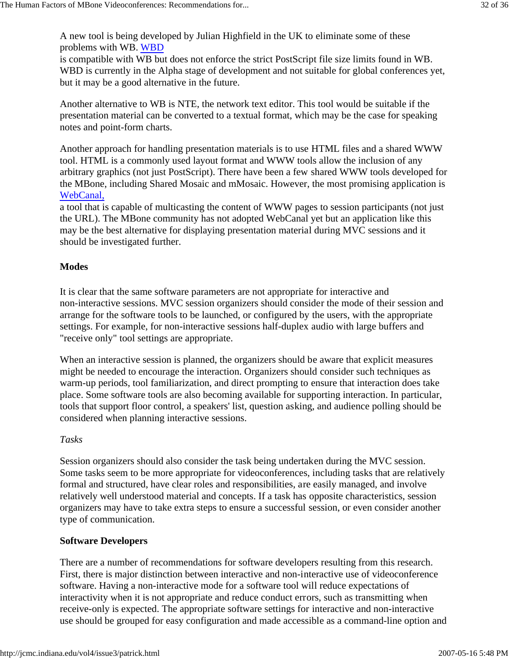A new tool is being developed by Julian Highfield in the UK to eliminate some of these problems with WB. WBD

is compatible with WB but does not enforce the strict PostScript file size limits found in WB. WBD is currently in the Alpha stage of development and not suitable for global conferences yet, but it may be a good alternative in the future.

Another alternative to WB is NTE, the network text editor. This tool would be suitable if the presentation material can be converted to a textual format, which may be the case for speaking notes and point-form charts.

Another approach for handling presentation materials is to use HTML files and a shared WWW tool. HTML is a commonly used layout format and WWW tools allow the inclusion of any arbitrary graphics (not just PostScript). There have been a few shared WWW tools developed for the MBone, including Shared Mosaic and mMosaic. However, the most promising application is WebCanal,

a tool that is capable of multicasting the content of WWW pages to session participants (not just the URL). The MBone community has not adopted WebCanal yet but an application like this may be the best alternative for displaying presentation material during MVC sessions and it should be investigated further.

### **Modes**

It is clear that the same software parameters are not appropriate for interactive and non-interactive sessions. MVC session organizers should consider the mode of their session and arrange for the software tools to be launched, or configured by the users, with the appropriate settings. For example, for non-interactive sessions half-duplex audio with large buffers and "receive only" tool settings are appropriate.

When an interactive session is planned, the organizers should be aware that explicit measures might be needed to encourage the interaction. Organizers should consider such techniques as warm-up periods, tool familiarization, and direct prompting to ensure that interaction does take place. Some software tools are also becoming available for supporting interaction. In particular, tools that support floor control, a speakers' list, question asking, and audience polling should be considered when planning interactive sessions.

#### *Tasks*

Session organizers should also consider the task being undertaken during the MVC session. Some tasks seem to be more appropriate for videoconferences, including tasks that are relatively formal and structured, have clear roles and responsibilities, are easily managed, and involve relatively well understood material and concepts. If a task has opposite characteristics, session organizers may have to take extra steps to ensure a successful session, or even consider another type of communication.

#### **Software Developers**

There are a number of recommendations for software developers resulting from this research. First, there is major distinction between interactive and non-interactive use of videoconference software. Having a non-interactive mode for a software tool will reduce expectations of interactivity when it is not appropriate and reduce conduct errors, such as transmitting when receive-only is expected. The appropriate software settings for interactive and non-interactive use should be grouped for easy configuration and made accessible as a command-line option and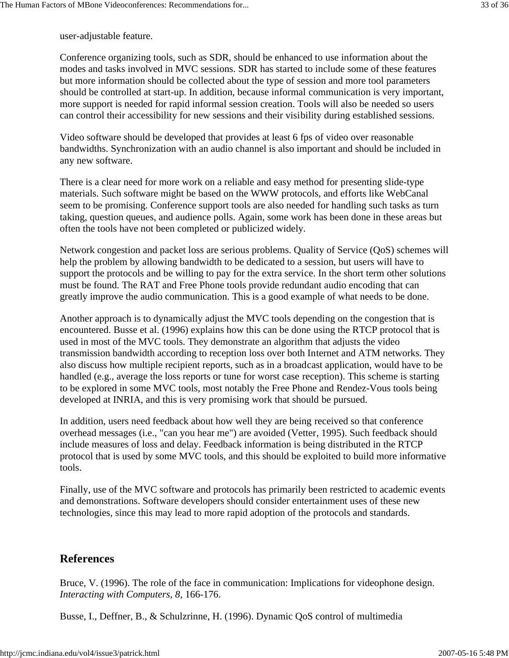user-adjustable feature.

Conference organizing tools, such as SDR, should be enhanced to use information about the modes and tasks involved in MVC sessions. SDR has started to include some of these features but more information should be collected about the type of session and more tool parameters should be controlled at start-up. In addition, because informal communication is very important, more support is needed for rapid informal session creation. Tools will also be needed so users can control their accessibility for new sessions and their visibility during established sessions.

Video software should be developed that provides at least 6 fps of video over reasonable bandwidths. Synchronization with an audio channel is also important and should be included in any new software.

There is a clear need for more work on a reliable and easy method for presenting slide-type materials. Such software might be based on the WWW protocols, and efforts like WebCanal seem to be promising. Conference support tools are also needed for handling such tasks as turn taking, question queues, and audience polls. Again, some work has been done in these areas but often the tools have not been completed or publicized widely.

Network congestion and packet loss are serious problems. Quality of Service (QoS) schemes will help the problem by allowing bandwidth to be dedicated to a session, but users will have to support the protocols and be willing to pay for the extra service. In the short term other solutions must be found. The RAT and Free Phone tools provide redundant audio encoding that can greatly improve the audio communication. This is a good example of what needs to be done.

Another approach is to dynamically adjust the MVC tools depending on the congestion that is encountered. Busse et al. (1996) explains how this can be done using the RTCP protocol that is used in most of the MVC tools. They demonstrate an algorithm that adjusts the video transmission bandwidth according to reception loss over both Internet and ATM networks. They also discuss how multiple recipient reports, such as in a broadcast application, would have to be handled (e.g., average the loss reports or tune for worst case reception). This scheme is starting to be explored in some MVC tools, most notably the Free Phone and Rendez-Vous tools being developed at INRIA, and this is very promising work that should be pursued.

In addition, users need feedback about how well they are being received so that conference overhead messages (i.e., "can you hear me") are avoided (Vetter, 1995). Such feedback should include measures of loss and delay. Feedback information is being distributed in the RTCP protocol that is used by some MVC tools, and this should be exploited to build more informative tools.

Finally, use of the MVC software and protocols has primarily been restricted to academic events and demonstrations. Software developers should consider entertainment uses of these new technologies, since this may lead to more rapid adoption of the protocols and standards.

# **References**

Bruce, V. (1996). The role of the face in communication: Implications for videophone design. *Interacting with Computers, 8*, 166-176.

Busse, I., Deffner, B., & Schulzrinne, H. (1996). Dynamic QoS control of multimedia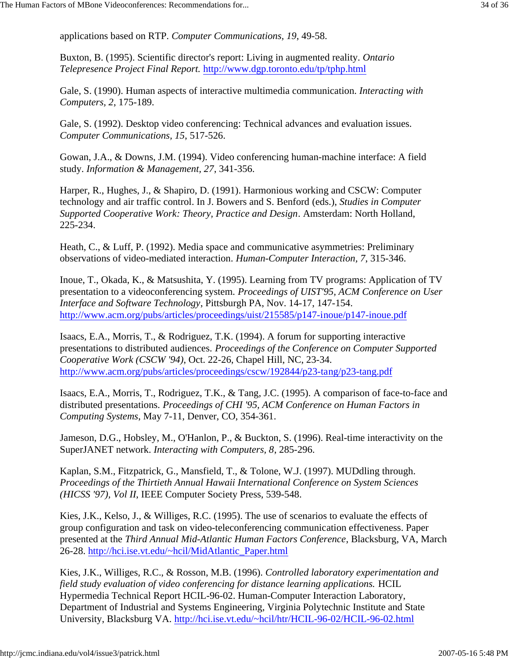applications based on RTP. *Computer Communications, 19*, 49-58.

Buxton, B. (1995). Scientific director's report: Living in augmented reality. *Ontario Telepresence Project Final Report.* http://www.dgp.toronto.edu/tp/tphp.html

Gale, S. (1990). Human aspects of interactive multimedia communication. *Interacting with Computers, 2*, 175-189.

Gale, S. (1992). Desktop video conferencing: Technical advances and evaluation issues. *Computer Communications, 15*, 517-526.

Gowan, J.A., & Downs, J.M. (1994). Video conferencing human-machine interface: A field study. *Information & Management, 27*, 341-356.

Harper, R., Hughes, J., & Shapiro, D. (1991). Harmonious working and CSCW: Computer technology and air traffic control. In J. Bowers and S. Benford (eds.), *Studies in Computer Supported Cooperative Work: Theory, Practice and Design*. Amsterdam: North Holland, 225-234.

Heath, C., & Luff, P. (1992). Media space and communicative asymmetries: Preliminary observations of video-mediated interaction. *Human-Computer Interaction, 7*, 315-346.

Inoue, T., Okada, K., & Matsushita, Y. (1995). Learning from TV programs: Application of TV presentation to a videoconferencing system. *Proceedings of UIST'95, ACM Conference on User Interface and Software Technology*, Pittsburgh PA, Nov. 14-17, 147-154. http://www.acm.org/pubs/articles/proceedings/uist/215585/p147-inoue/p147-inoue.pdf

Isaacs, E.A., Morris, T., & Rodriguez, T.K. (1994). A forum for supporting interactive presentations to distributed audiences. *Proceedings of the Conference on Computer Supported Cooperative Work (CSCW '94)*, Oct. 22-26, Chapel Hill, NC, 23-34. http://www.acm.org/pubs/articles/proceedings/cscw/192844/p23-tang/p23-tang.pdf

Isaacs, E.A., Morris, T., Rodriguez, T.K., & Tang, J.C. (1995). A comparison of face-to-face and distributed presentations. *Proceedings of CHI '95, ACM Conference on Human Factors in Computing Systems*, May 7-11, Denver, CO, 354-361.

Jameson, D.G., Hobsley, M., O'Hanlon, P., & Buckton, S. (1996). Real-time interactivity on the SuperJANET network. *Interacting with Computers, 8*, 285-296.

Kaplan, S.M., Fitzpatrick, G., Mansfield, T., & Tolone, W.J. (1997). MUDdling through. *Proceedings of the Thirtieth Annual Hawaii International Conference on System Sciences (HICSS '97), Vol II*, IEEE Computer Society Press, 539-548.

Kies, J.K., Kelso, J., & Williges, R.C. (1995). The use of scenarios to evaluate the effects of group configuration and task on video-teleconferencing communication effectiveness. Paper presented at the *Third Annual Mid-Atlantic Human Factors Conference*, Blacksburg, VA, March 26-28. http://hci.ise.vt.edu/~hcil/MidAtlantic\_Paper.html

Kies, J.K., Williges, R.C., & Rosson, M.B. (1996). *Controlled laboratory experimentation and field study evaluation of video conferencing for distance learning applications.* HCIL Hypermedia Technical Report HCIL-96-02. Human-Computer Interaction Laboratory, Department of Industrial and Systems Engineering, Virginia Polytechnic Institute and State University, Blacksburg VA. http://hci.ise.vt.edu/~hcil/htr/HCIL-96-02/HCIL-96-02.html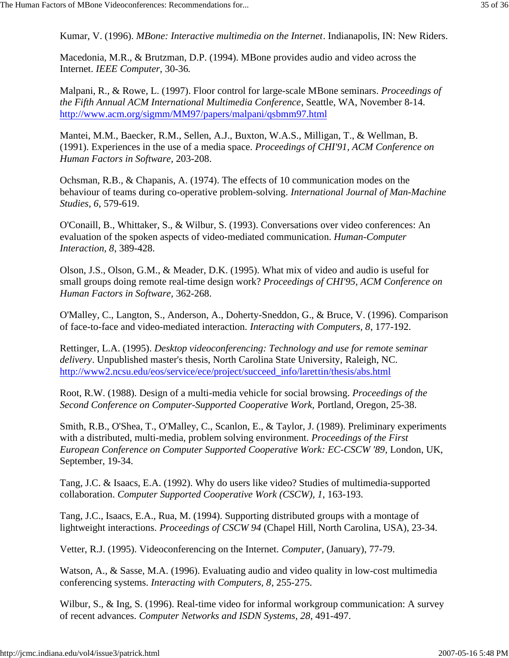Kumar, V. (1996). *MBone: Interactive multimedia on the Internet*. Indianapolis, IN: New Riders.

Macedonia, M.R., & Brutzman, D.P. (1994). MBone provides audio and video across the Internet. *IEEE Computer,* 30-36*.*

Malpani, R., & Rowe, L. (1997). Floor control for large-scale MBone seminars. *Proceedings of the Fifth Annual ACM International Multimedia Conference*, Seattle, WA, November 8-14. http://www.acm.org/sigmm/MM97/papers/malpani/qsbmm97.html

Mantei, M.M., Baecker, R.M., Sellen, A.J., Buxton, W.A.S., Milligan, T., & Wellman, B. (1991). Experiences in the use of a media space. *Proceedings of CHI'91, ACM Conference on Human Factors in Software*, 203-208.

Ochsman, R.B., & Chapanis, A. (1974). The effects of 10 communication modes on the behaviour of teams during co-operative problem-solving. *International Journal of Man-Machine Studies, 6*, 579-619.

O'Conaill, B., Whittaker, S., & Wilbur, S. (1993). Conversations over video conferences: An evaluation of the spoken aspects of video-mediated communication. *Human-Computer Interaction, 8*, 389-428.

Olson, J.S., Olson, G.M., & Meader, D.K. (1995). What mix of video and audio is useful for small groups doing remote real-time design work? *Proceedings of CHI'95, ACM Conference on Human Factors in Software,* 362-268.

O'Malley, C., Langton, S., Anderson, A., Doherty-Sneddon, G., & Bruce, V. (1996). Comparison of face-to-face and video-mediated interaction. *Interacting with Computers, 8*, 177-192.

Rettinger, L.A. (1995). *Desktop videoconferencing: Technology and use for remote seminar delivery*. Unpublished master's thesis, North Carolina State University, Raleigh, NC. http://www2.ncsu.edu/eos/service/ece/project/succeed\_info/larettin/thesis/abs.html

Root, R.W. (1988). Design of a multi-media vehicle for social browsing. *Proceedings of the Second Conference on Computer-Supported Cooperative Work,* Portland, Oregon, 25-38.

Smith, R.B., O'Shea, T., O'Malley, C., Scanlon, E., & Taylor, J. (1989). Preliminary experiments with a distributed, multi-media, problem solving environment. *Proceedings of the First European Conference on Computer Supported Cooperative Work: EC-CSCW '89*, London, UK, September, 19-34.

Tang, J.C. & Isaacs, E.A. (1992). Why do users like video? Studies of multimedia-supported collaboration. *Computer Supported Cooperative Work (CSCW), 1*, 163-193.

Tang, J.C., Isaacs, E.A., Rua, M. (1994). Supporting distributed groups with a montage of lightweight interactions. *Proceedings of CSCW 94* (Chapel Hill, North Carolina, USA), 23-34.

Vetter, R.J. (1995). Videoconferencing on the Internet. *Computer,* (January), 77-79.

Watson, A., & Sasse, M.A. (1996). Evaluating audio and video quality in low-cost multimedia conferencing systems. *Interacting with Computers, 8*, 255-275.

Wilbur, S., & Ing, S. (1996). Real-time video for informal workgroup communication: A survey of recent advances. *Computer Networks and ISDN Systems, 28*, 491-497.